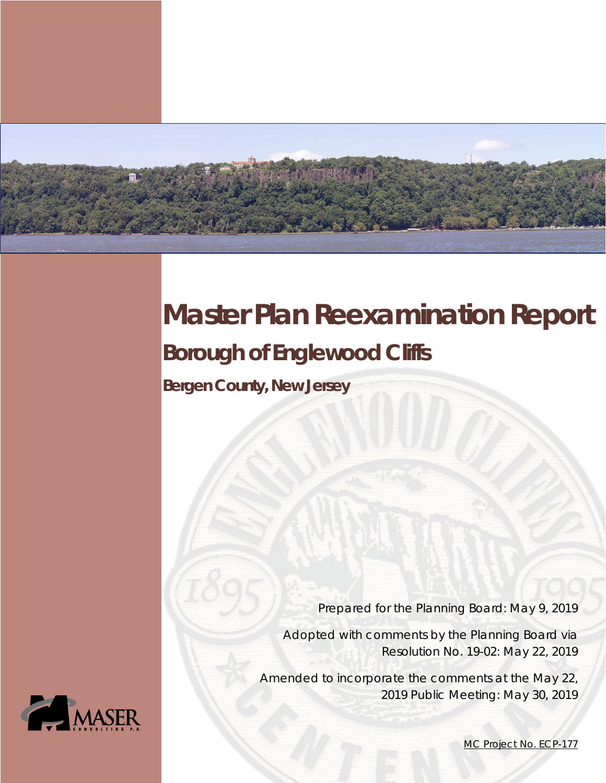# **Master Plan Reexamination Report Borough of Englewood Cliffs**

**Bergen County, New Jersey**

Prepared for the Planning Board: May 9, 2019

Adopted with comments by the Planning Board via Resolution No. 19-02: May 22, 2019

Amended to incorporate the comments at the May 22, 2019 Public Meeting: May 30, 2019



MC Project No. ECP-177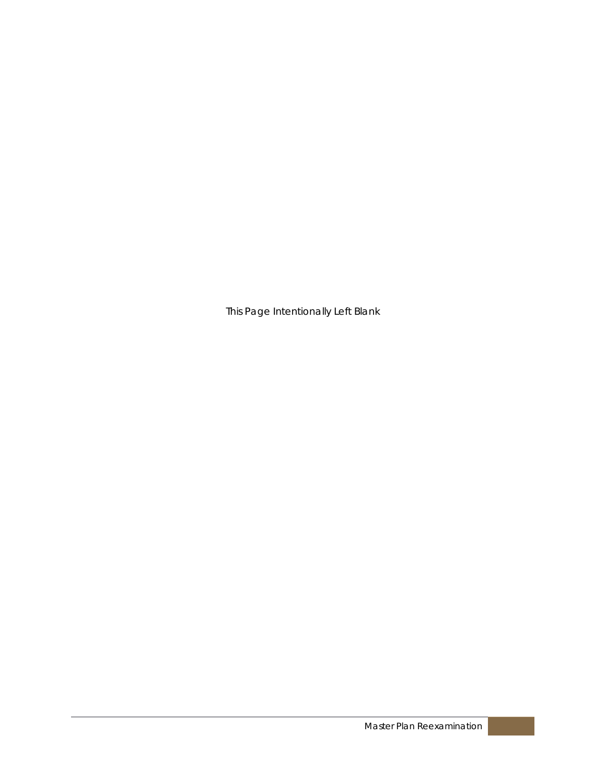This Page Intentionally Left Blank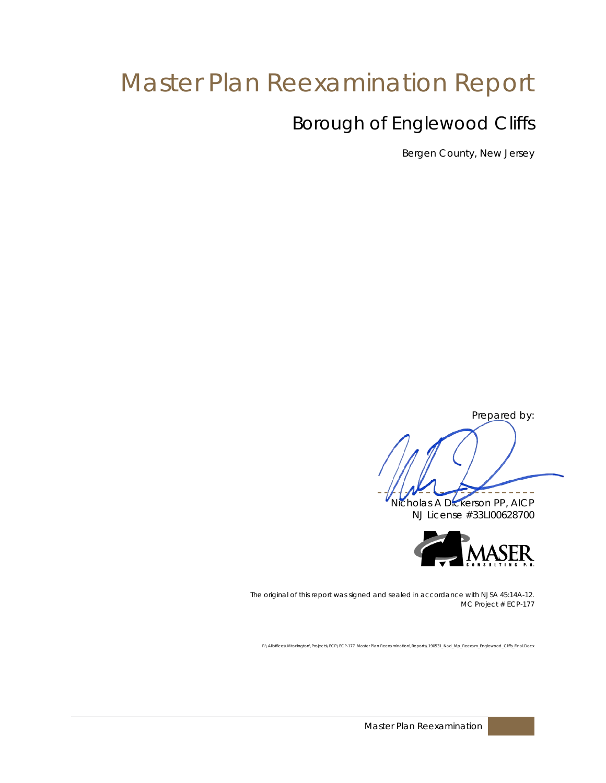# Master Plan Reexamination Report

# Borough of Englewood Cliffs

Bergen County, New Jersey

Prepared by:  $\sim$   $-$ Nicholas A Dickerson PP, AICP NJ License #33LI00628700



The original of this report was signed and sealed in accordance with NJSA 45:14A-12. MC Project # ECP-177

R:\Alloffices\Mtarlington\Projects\ECP\ECP-177 Master Plan Reexamination\Reports\190531\_Nad\_Mp\_Reexam\_Englewood\_Cliffs\_Final.Docx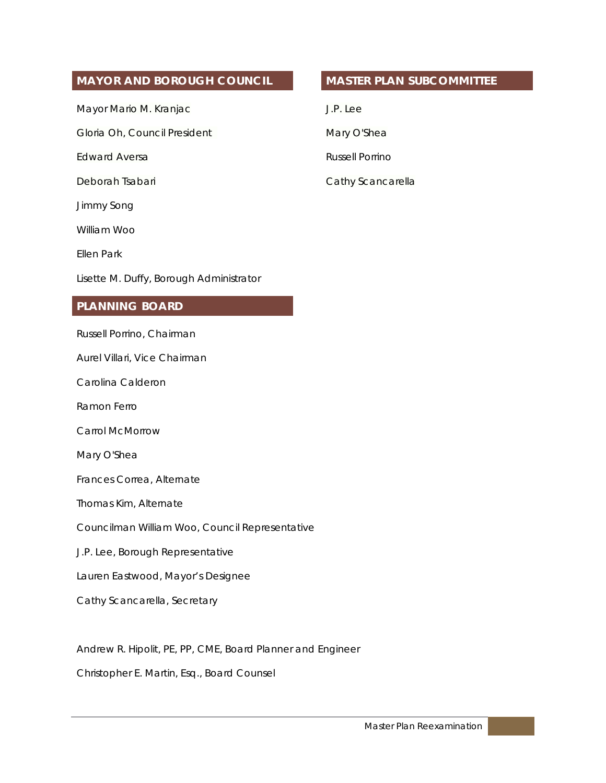#### **MAYOR AND BOROUGH COUNCIL MASTER PLAN SUBCOMMITTEE**

Mayor Mario M. Kranjac

Gloria Oh, Council President

Edward Aversa

Deborah Tsabari

Jimmy Song

William Woo

Ellen Park

Lisette M. Duffy, Borough Administrator

#### **PLANNING BOARD**

Russell Porrino, Chairman

Aurel Villari, Vice Chairman

Carolina Calderon

Ramon Ferro

Carrol McMorrow

Mary O'Shea

Frances Correa, Alternate

Thomas Kim, Alternate

Councilman William Woo, Council Representative

J.P. Lee, Borough Representative

Lauren Eastwood, Mayor's Designee

Cathy Scancarella, Secretary

Andrew R. Hipolit, PE, PP, CME, Board Planner and Engineer

Christopher E. Martin, Esq., Board Counsel

J.P. Lee

Mary O'Shea

Russell Porrino

Cathy Scancarella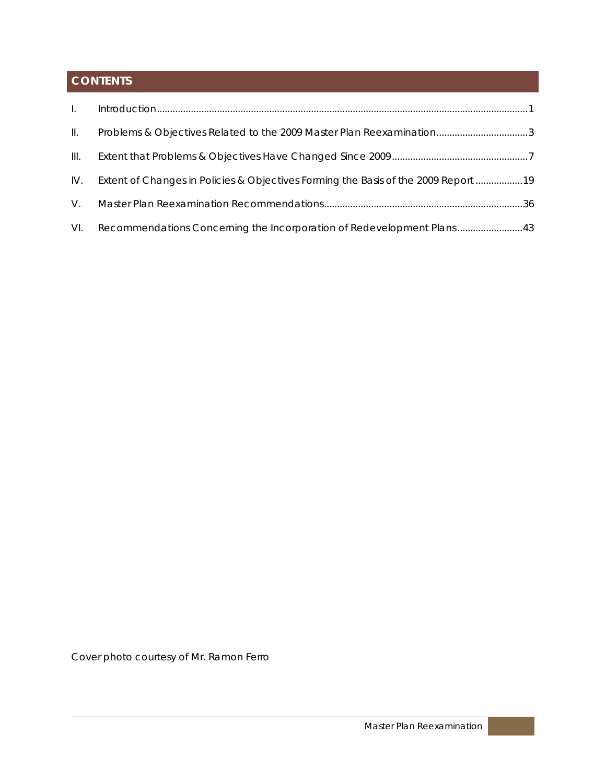# **CONTENTS**

| $\mathbb{H}$ . |                                                                                     |
|----------------|-------------------------------------------------------------------------------------|
| III.           |                                                                                     |
| IV.            | Extent of Changes in Policies & Objectives Forming the Basis of the 2009 Report  19 |
| V.             |                                                                                     |
| VI.            | Recommendations Concerning the Incorporation of Redevelopment Plans43               |

*Cover photo courtesy of Mr. Ramon Ferro*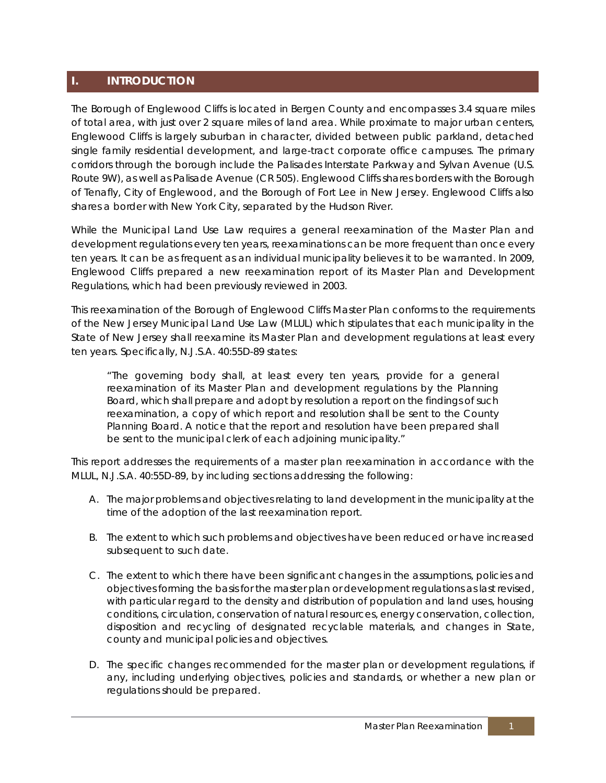# <span id="page-5-0"></span>**I. INTRODUCTION**

The Borough of Englewood Cliffs is located in Bergen County and encompasses 3.4 square miles of total area, with just over 2 square miles of land area. While proximate to major urban centers, Englewood Cliffs is largely suburban in character, divided between public parkland, detached single family residential development, and large-tract corporate office campuses. The primary corridors through the borough include the Palisades Interstate Parkway and Sylvan Avenue (U.S. Route 9W), as well as Palisade Avenue (CR 505). Englewood Cliffs shares borders with the Borough of Tenafly, City of Englewood, and the Borough of Fort Lee in New Jersey. Englewood Cliffs also shares a border with New York City, separated by the Hudson River.

While the Municipal Land Use Law requires a general reexamination of the Master Plan and development regulations every ten years, reexaminations can be more frequent than once every ten years. It can be as frequent as an individual municipality believes it to be warranted. In 2009, Englewood Cliffs prepared a new reexamination report of its Master Plan and Development Regulations, which had been previously reviewed in 2003.

This reexamination of the Borough of Englewood Cliffs Master Plan conforms to the requirements of the New Jersey Municipal Land Use Law (MLUL) which stipulates that each municipality in the State of New Jersey shall reexamine its Master Plan and development regulations at least every ten years. Specifically, N.J.S.A. 40:55D-89 states:

*"The governing body shall, at least every ten years, provide for a general*  reexamination of its Master Plan and development regulations by the Planning *Board, which shall prepare and adopt by resolution a report on the findings of such reexamination, a copy of which report and resolution shall be sent to the County Planning Board. A notice that the report and resolution have been prepared shall be sent to the municipal clerk of each adjoining municipality."*

This report addresses the requirements of a master plan reexamination in accordance with the MLUL, N.J.S.A. 40:55D-89, by including sections addressing the following:

- A. The major problems and objectives relating to land development in the municipality at the time of the adoption of the last reexamination report.
- B. The extent to which such problems and objectives have been reduced or have increased subsequent to such date.
- C. The extent to which there have been significant changes in the assumptions, policies and objectives forming the basis for the master plan or development regulations as last revised, with particular regard to the density and distribution of population and land uses, housing conditions, circulation, conservation of natural resources, energy conservation, collection, disposition and recycling of designated recyclable materials, and changes in State, county and municipal policies and objectives.
- D. The specific changes recommended for the master plan or development regulations, if any, including underlying objectives, policies and standards, or whether a new plan or regulations should be prepared.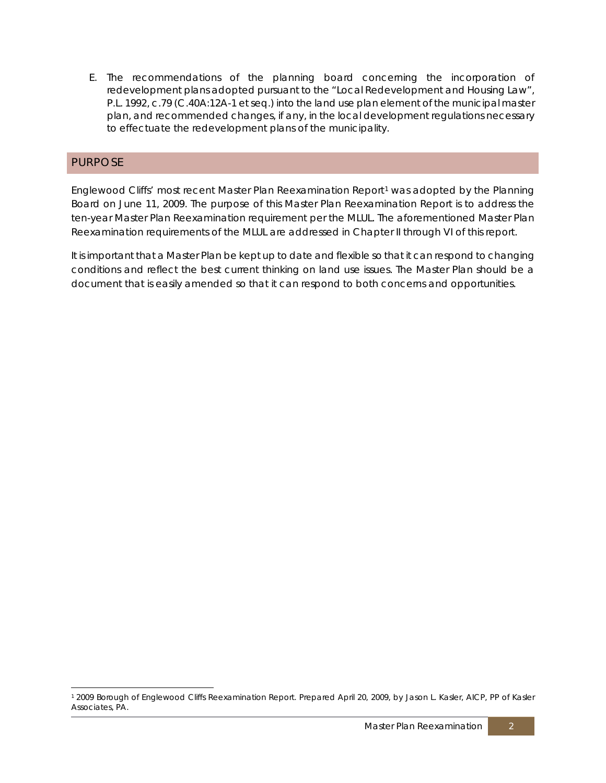E. The recommendations of the planning board concerning the incorporation of redevelopment plans adopted pursuant to the "Local Redevelopment and Housing Law", P.L. 1992, c.79 (C.40A:12A-1 et seq.) into the land use plan element of the municipal master plan, and recommended changes, if any, in the local development regulations necessary to effectuate the redevelopment plans of the municipality.

#### PURPOSE

Englewood Cliffs' most recent Master Plan Reexamination Report<sup>[1](#page-6-0)</sup> was adopted by the Planning Board on June 11, 2009. The purpose of this Master Plan Reexamination Report is to address the ten-year Master Plan Reexamination requirement per the MLUL. The aforementioned Master Plan Reexamination requirements of the MLUL are addressed in Chapter II through VI of this report.

It is important that a Master Plan be kept up to date and flexible so that it can respond to changing conditions and reflect the best current thinking on land use issues. The Master Plan should be a document that is easily amended so that it can respond to both concerns and opportunities.

<span id="page-6-0"></span> <sup>1</sup> *2009 Borough of Englewood Cliffs Reexamination Report. Prepared April 20, 2009, by Jason L. Kasler, AICP, PP of Kasler Associates, PA.*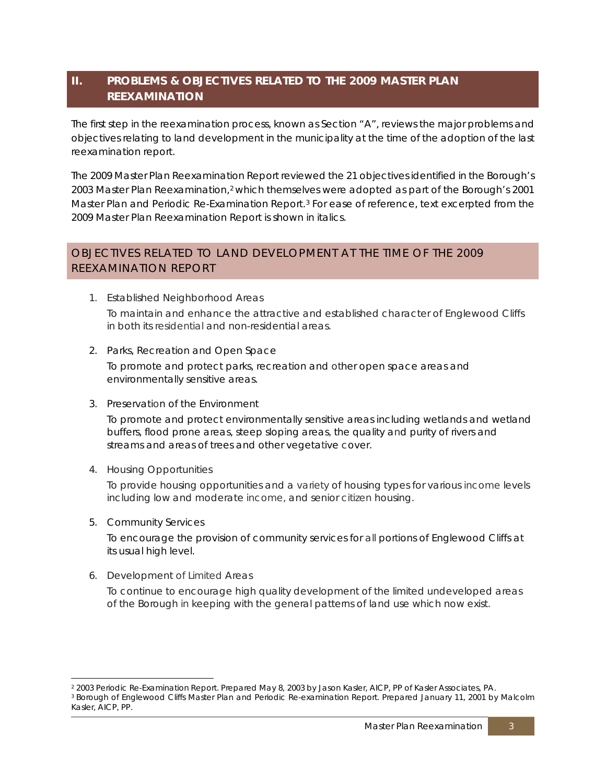# <span id="page-7-0"></span>**II. PROBLEMS & OBJECTIVES RELATED TO THE 2009 MASTER PLAN REEXAMINATION**

The first step in the reexamination process, known as Section "A", reviews the major problems and objectives relating to land development in the municipality at the time of the adoption of the last reexamination report.

The 2009 Master Plan Reexamination Report reviewed the 21 objectives identified in the Borough's 2003 Master Plan Reexamination,[2](#page-7-1) which themselves were adopted as part of the Borough's 2001 Master Plan and Periodic Re-Examination Report.[3](#page-7-2) For ease of reference, text excerpted from the 2009 Master Plan Reexamination Report is shown *in italics.*

# OBJECTIVES RELATED TO LAND DEVELOPMENT AT THE TIME OF THE 2009 REEXAMINATION REPORT

- *1. Established Neighborhood Areas To maintain and enhance the attractive and established character of Englewood Cliffs in both its residential and non-residential areas.*
- *2. Parks, Recreation and Open Space*

*To promote and protect parks, recreation and other open space areas and environmentally sensitive areas.*

*3. Preservation of the Environment*

*To promote and protect environmentally sensitive areas including wetlands and wetland buffers, flood prone areas, steep sloping areas, the quality and purity of rivers and streams and areas of trees and other vegetative cover.*

*4. Housing Opportunities*

*To provide housing opportunities and a variety of housing types for various income levels including low and moderate income, and senior citizen housing.*

*5. Community Services*

*To encourage the provision of community services for all portions of Englewood Cliffs at its usual high level.*

*6. Development of Limited Areas*

*To continue to encourage high quality development of the limited undeveloped areas of the Borough in keeping with the general patterns of land use which now exist.*

<span id="page-7-2"></span><span id="page-7-1"></span> <sup>2</sup> *2003 Periodic Re-Examination Report. Prepared May 8, 2003 by Jason Kasler, AICP, PP of Kasler Associates, PA.* <sup>3</sup> *Borough of Englewood Cliffs Master Plan and Periodic Re-examination Report. Prepared January 11, 2001 by Malcolm Kasler, AICP, PP.*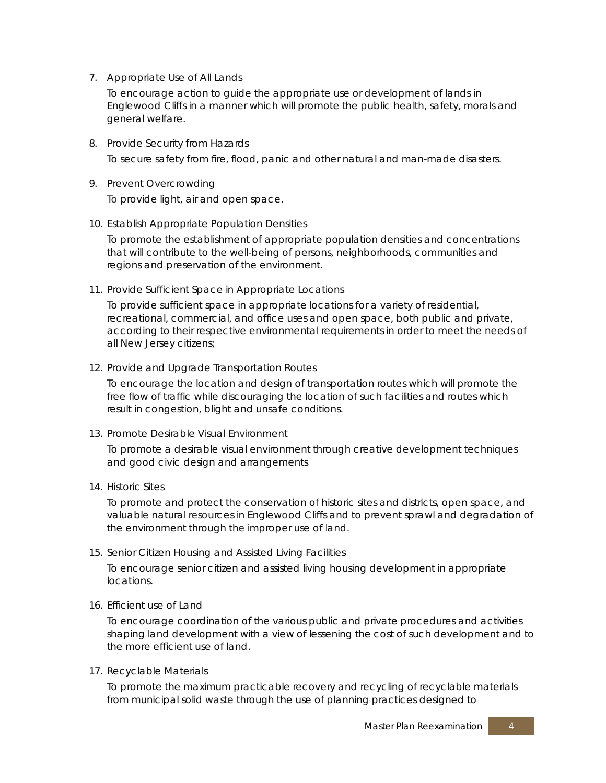*7. Appropriate Use of All Lands*

*To encourage action to guide the appropriate use or development of lands in Englewood Cliffs in a manner which will promote the public health, safety, morals and general welfare.*

- *8. Provide Security from Hazards To secure safety from fire, flood, panic and other natural and man-made disasters.*
- *9. Prevent Overcrowding*

*To provide light, air and open space.*

*10. Establish Appropriate Population Densities*

*To promote the establishment of appropriate population densities and concentrations that will contribute to the well-being of persons, neighborhoods, communities and regions and preservation of the environment.*

*11. Provide Sufficient Space in Appropriate Locations*

*To provide sufficient space in appropriate locations for a variety of residential, recreational, commercial, and office uses and open space, both public and private, according to their respective environmental requirements in order to meet the needs of all New Jersey citizens;*

*12. Provide and Upgrade Transportation Routes*

*To encourage the location and design of transportation routes which will promote the free flow of traffic while discouraging the location of such facilities and routes which result in congestion, blight and unsafe conditions.*

*13. Promote Desirable Visual Environment*

*To promote a desirable visual environment through creative development techniques and good civic design and arrangements*

*14. Historic Sites*

*To promote and protect the conservation of historic sites and districts, open space, and*  valuable natural resources in Englewood Cliffs and to prevent sprawl and degradation of *the environment through the improper use of land.*

*15. Senior Citizen Housing and Assisted Living Facilities*

*To encourage senior citizen and assisted living housing development in appropriate locations.*

*16. Efficient use of Land*

*To encourage coordination of the various public and private procedures and activities shaping land development with a view of lessening the cost of such development and to the more efficient use of land.*

*17. Recyclable Materials*

*To promote the maximum practicable recovery and recycling of recyclable materials from municipal solid waste through the use of planning practices designed to*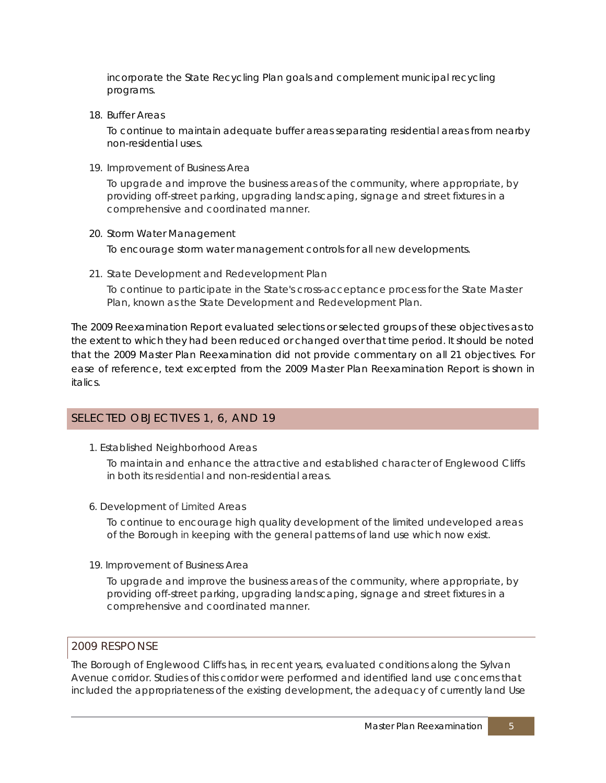*incorporate the State Recycling Plan goals and complement municipal recycling programs.*

*18. Buffer Areas*

*To continue to maintain adequate buffer areas separating residential areas from nearby non-residential uses.*

*19. Improvement of Business Area*

*To upgrade and improve the business areas of the community, where appropriate, by providing off-street parking, upgrading landscaping, signage and street fixtures in a comprehensive and coordinated manner.*

- *20. Storm Water Management To encourage storm water management controls for all new developments.*
- *21. State Development and Redevelopment Plan To continue to participate in the State's cross-acceptance process for the State Master Plan, known as the State Development and Redevelopment Plan.*

The 2009 Reexamination Report evaluated selections or selected groups of these objectives as to the extent to which they had been reduced or changed over that time period. It should be noted that the 2009 Master Plan Reexamination did not provide commentary on all 21 objectives. For ease of reference, text excerpted from the 2009 Master Plan Reexamination Report is shown *in italics.*

# SELECTED OBJECTIVES 1, 6, AND 19

*1. Established Neighborhood Areas*

*To maintain and enhance the attractive and established character of Englewood Cliffs in both its residential and non-residential areas.*

*6. Development of Limited Areas*

*To continue to encourage high quality development of the limited undeveloped areas of the Borough in keeping with the general patterns of land use which now exist.*

*19. Improvement of Business Area*

*To upgrade and improve the business areas of the community, where appropriate, by providing off-street parking, upgrading landscaping, signage and street fixtures in a comprehensive and coordinated manner.*

#### 2009 RESPONSE

*The Borough of Englewood Cliffs has, in recent years, evaluated conditions along the Sylvan Avenue corridor. Studies of this corridor were performed and identified land use concerns that included the appropriateness of the existing development, the adequacy of currently land Use*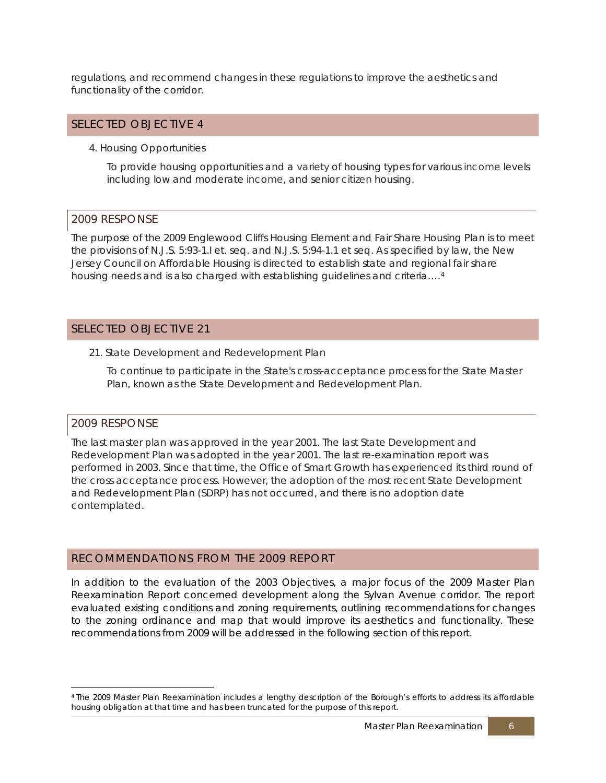*regulations, and recommend changes in these regulations to improve the aesthetics and functionality of the corridor.*

#### SELECTED OBJECTIVE 4

#### *4. Housing Opportunities*

*To provide housing opportunities and a variety of housing types for various income levels including low and moderate income, and senior citizen housing.*

#### 2009 RESPONSE

*The purpose of the 2009 Englewood Cliffs Housing Element and Fair Share Housing Plan is to meet the provisions of N.J.S. 5:93-1.I et. seq. and N.J.S. 5:94-1.1 et seq. As specified by law, the New Jersey Council on Affordable Housing is directed to establish state and regional fair share housing needs and is also charged with establishing guidelines and criteria….[4](#page-10-0)*

#### SELECTED OBJECTIVE 21

*21. State Development and Redevelopment Plan*

*To continue to participate in the State's cross-acceptance process for the State Master Plan, known as the State Development and Redevelopment Plan.*

#### 2009 RESPONSE

*The last master plan was approved in the year 2001. The last State Development and Redevelopment Plan was adopted in the year 2001. The last re-examination report was performed in 2003. Since that time, the Office of Smart Growth has experienced its third round of the cross acceptance process. However, the adoption of the most recent State Development and Redevelopment Plan (SDRP) has not occurred, and there is no adoption date contemplated.*

#### RECOMMENDATIONS FROM THE 2009 REPORT

In addition to the evaluation of the 2003 Objectives, a major focus of the 2009 Master Plan Reexamination Report concerned development along the Sylvan Avenue corridor. The report evaluated existing conditions and zoning requirements, outlining recommendations for changes to the zoning ordinance and map that would improve its aesthetics and functionality. These recommendations from 2009 will be addressed in the following section of this report.

<span id="page-10-0"></span> <sup>4</sup> The 2009 Master Plan Reexamination includes a lengthy description of the Borough's efforts to address its affordable housing obligation at that time and has been truncated for the purpose of this report.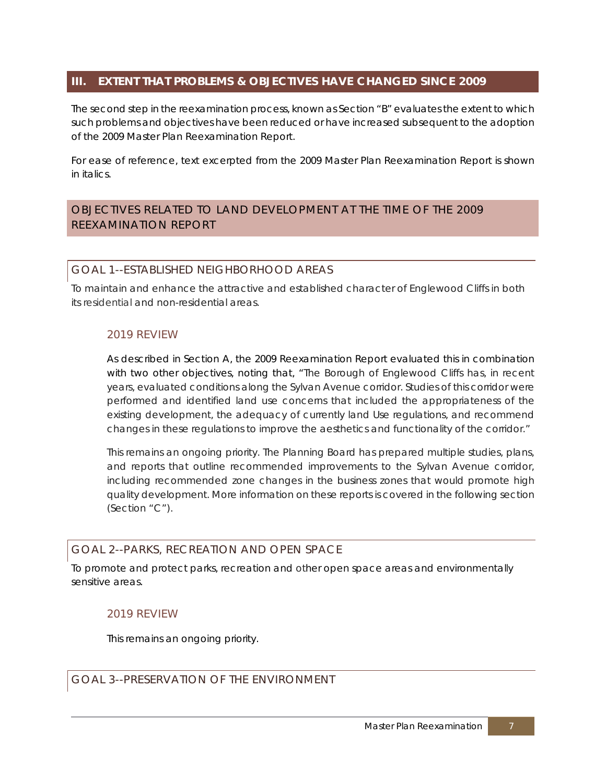# <span id="page-11-0"></span>**III. EXTENT THAT PROBLEMS & OBJECTIVES HAVE CHANGED SINCE 2009**

The second step in the reexamination process, known as Section "B" evaluates the extent to which such problems and objectives have been reduced or have increased subsequent to the adoption of the 2009 Master Plan Reexamination Report.

For ease of reference, text excerpted from the 2009 Master Plan Reexamination Report is shown *in italics.*

# OBJECTIVES RELATED TO LAND DEVELOPMENT AT THE TIME OF THE 2009 REEXAMINATION REPORT

#### GOAL 1--ESTABLISHED NEIGHBORHOOD AREAS

*To maintain and enhance the attractive and established character of Englewood Cliffs in both its residential and non-residential areas.*

# 2019 REVIEW

As described in Section A, the 2009 Reexamination Report evaluated this in combination with two other objectives, noting that, "The Borough of Englewood Cliffs has, in recent years, evaluated conditions along the Sylvan Avenue corridor. Studies of this corridor were performed and identified land use concerns that included the appropriateness of the existing development, the adequacy of currently land Use regulations, and recommend changes in these regulations to improve the aesthetics and functionality of the corridor."

This remains an ongoing priority. The Planning Board has prepared multiple studies, plans, and reports that outline recommended improvements to the Sylvan Avenue corridor, including recommended zone changes in the business zones that would promote high quality development. More information on these reports is covered in the following section (Section "C").

#### GOAL 2--PARKS, RECREATION AND OPEN SPACE

*To promote and protect parks, recreation and other open space areas and environmentally sensitive areas.*

#### 2019 REVIEW

This remains an ongoing priority.

GOAL 3--PRESERVATION OF THE ENVIRONMENT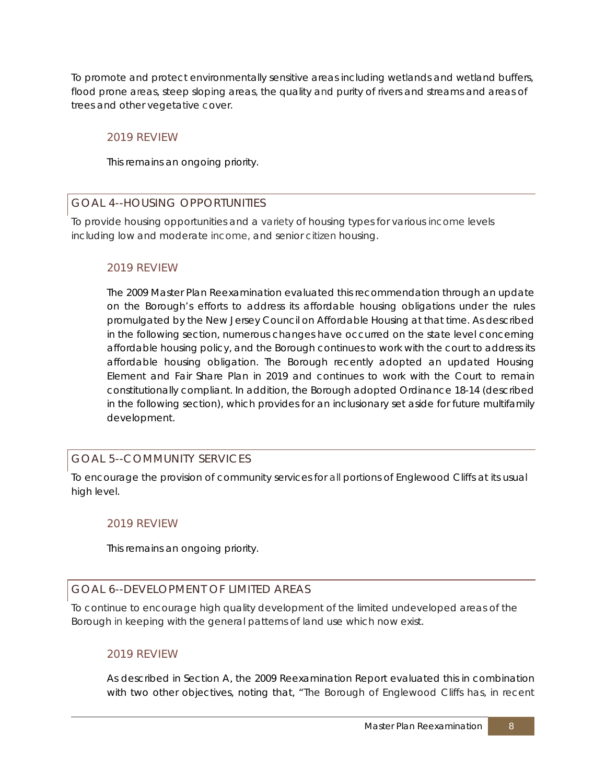*To promote and protect environmentally sensitive areas including wetlands and wetland buffers, flood prone areas, steep sloping areas, the quality and purity of rivers and streams and areas of trees and other vegetative cover.*

#### 2019 REVIEW

This remains an ongoing priority.

# GOAL 4--HOUSING OPPORTUNITIES

*To provide housing opportunities and a variety of housing types for various income levels including low and moderate income, and senior citizen housing.*

# 2019 REVIEW

The 2009 Master Plan Reexamination evaluated this recommendation through an update on the Borough's efforts to address its affordable housing obligations under the rules promulgated by the New Jersey Council on Affordable Housing at that time. As described in the following section, numerous changes have occurred on the state level concerning affordable housing policy, and the Borough continues to work with the court to address its affordable housing obligation. The Borough recently adopted an updated Housing Element and Fair Share Plan in 2019 and continues to work with the Court to remain constitutionally compliant. In addition, the Borough adopted Ordinance 18-14 (described in the following section), which provides for an inclusionary set aside for future multifamily development.

# GOAL 5--COMMUNITY SERVICES

*To encourage the provision of community services for all portions of Englewood Cliffs at its usual high level.*

#### 2019 REVIEW

This remains an ongoing priority.

# GOAL 6--DEVELOPMENT OF LIMITED AREAS

To continue to encourage high quality development of the limited undeveloped areas of the *Borough in keeping with the general patterns of land use which now exist.*

#### 2019 REVIEW

As described in Section A, the 2009 Reexamination Report evaluated this in combination with two other objectives, noting that, "The Borough of Englewood Cliffs has, in recent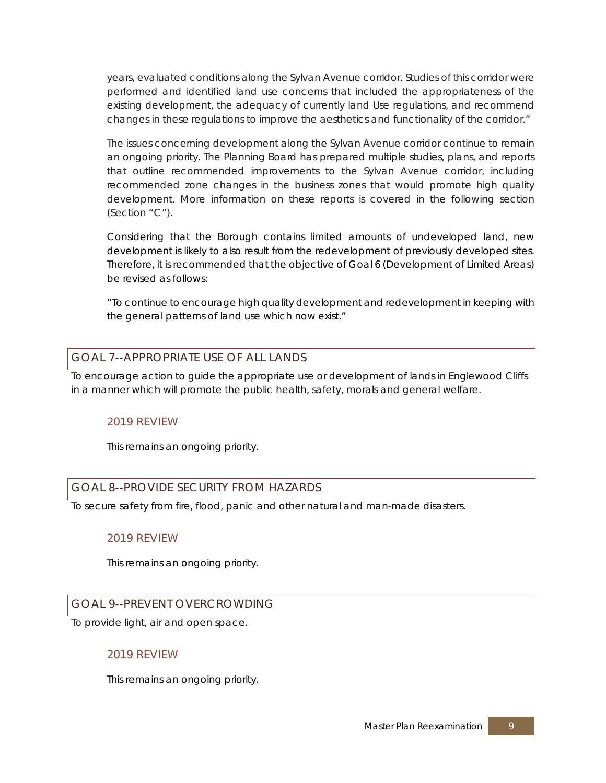years, evaluated conditions along the Sylvan Avenue corridor. Studies of this corridor were performed and identified land use concerns that included the appropriateness of the existing development, the adequacy of currently land Use regulations, and recommend changes in these regulations to improve the aesthetics and functionality of the corridor."

The issues concerning development along the Sylvan Avenue corridor continue to remain an ongoing priority. The Planning Board has prepared multiple studies, plans, and reports that outline recommended improvements to the Sylvan Avenue corridor, including recommended zone changes in the business zones that would promote high quality development. More information on these reports is covered in the following section (Section "C").

Considering that the Borough contains limited amounts of undeveloped land, new development is likely to also result from the redevelopment of previously developed sites. Therefore, it is recommended that the objective of Goal 6 (Development of Limited Areas) be revised as follows:

*"To continue to encourage high quality development and redevelopment in keeping with the general patterns of land use which now exist."*

# GOAL 7--APPROPRIATE USE OF ALL LANDS

*To encourage action to guide the appropriate use or development of lands in Englewood Cliffs in a manner which will promote the public health, safety, morals and general welfare.*

#### 2019 REVIEW

This remains an ongoing priority.

#### GOAL 8--PROVIDE SECURITY FROM HAZARDS

*To secure safety from fire, flood, panic and other natural and man-made disasters.*

#### 2019 REVIEW

This remains an ongoing priority.

#### GOAL 9--PREVENT OVERCROWDING

*To provide light, air and open space.*

#### 2019 REVIEW

This remains an ongoing priority.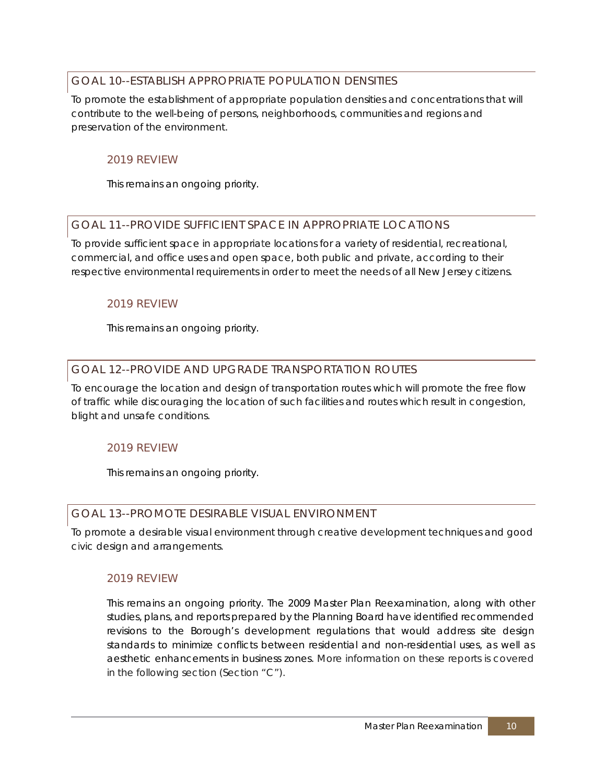# GOAL 10--ESTABLISH APPROPRIATE POPULATION DENSITIES

To promote the establishment of appropriate population densities and concentrations that will *contribute to the well-being of persons, neighborhoods, communities and regions and preservation of the environment.*

# 2019 REVIEW

This remains an ongoing priority.

# GOAL 11--PROVIDE SUFFICIENT SPACE IN APPROPRIATE LOCATIONS

*To provide sufficient space in appropriate locations for a variety of residential, recreational, commercial, and office uses and open space, both public and private, according to their respective environmental requirements in order to meet the needs of all New Jersey citizens.*

# 2019 REVIEW

This remains an ongoing priority.

# GOAL 12--PROVIDE AND UPGRADE TRANSPORTATION ROUTES

*To encourage the location and design of transportation routes which will promote the free flow of traffic while discouraging the location of such facilities and routes which result in congestion, blight and unsafe conditions.*

# 2019 REVIEW

This remains an ongoing priority.

# GOAL 13--PROMOTE DESIRABLE VISUAL ENVIRONMENT

*To promote a desirable visual environment through creative development techniques and good civic design and arrangements.*

#### 2019 REVIEW

This remains an ongoing priority. The 2009 Master Plan Reexamination, along with other studies, plans, and reports prepared by the Planning Board have identified recommended revisions to the Borough's development regulations that would address site design standards to minimize conflicts between residential and non-residential uses, as well as aesthetic enhancements in business zones. More information on these reports is covered in the following section (Section "C").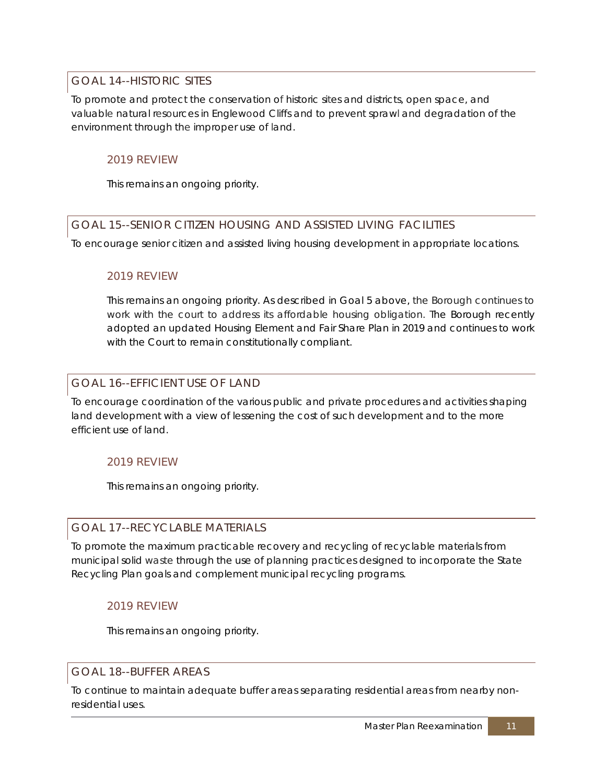# GOAL 14--HISTORIC SITES

*To promote and protect the conservation of historic sites and districts, open space, and valuable natural resources in Englewood Cliffs and to prevent sprawl and degradation of the environment through the improper use of land.*

# 2019 REVIEW

This remains an ongoing priority.

# GOAL 15--SENIOR CITIZEN HOUSING AND ASSISTED LIVING FACILITIES

*To encourage senior citizen and assisted living housing development in appropriate locations.*

#### 2019 REVIEW

This remains an ongoing priority. As described in Goal 5 above, the Borough continues to work with the court to address its affordable housing obligation. The Borough recently adopted an updated Housing Element and Fair Share Plan in 2019 and continues to work with the Court to remain constitutionally compliant.

# GOAL 16--EFFICIENT USE OF LAND

*To encourage coordination of the various public and private procedures and activities shaping*  land development with a view of lessening the cost of such development and to the more *efficient use of land.*

2019 REVIEW

This remains an ongoing priority.

#### GOAL 17--RECYCLABLE MATERIALS

*To promote the maximum practicable recovery and recycling of recyclable materials from municipal solid waste through the use of planning practices designed to incorporate the State Recycling Plan goals and complement municipal recycling programs.*

#### 2019 REVIEW

This remains an ongoing priority.

#### GOAL 18--BUFFER AREAS

*To continue to maintain adequate buffer areas separating residential areas from nearby nonresidential uses.*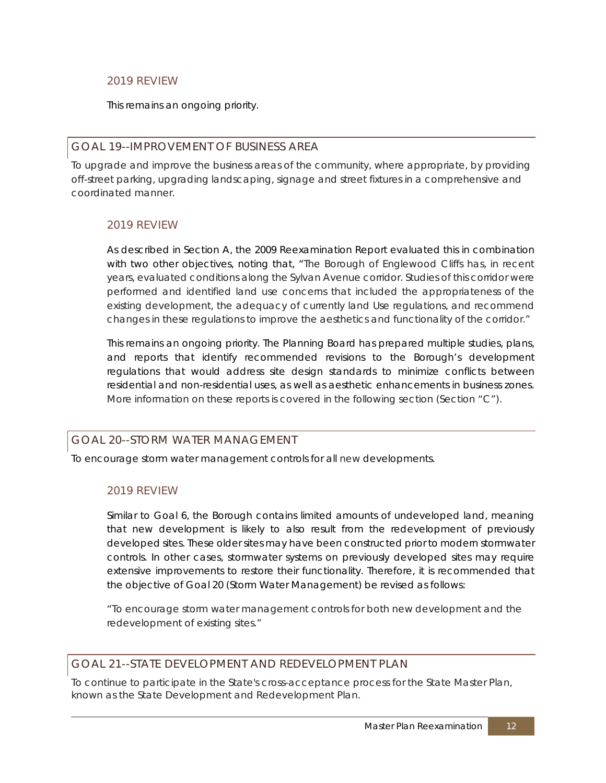# 2019 REVIEW

This remains an ongoing priority.

# GOAL 19--IMPROVEMENT OF BUSINESS AREA

*To upgrade and improve the business areas of the community, where appropriate, by providing off-street parking, upgrading landscaping, signage and street fixtures in a comprehensive and coordinated manner.*

# 2019 REVIEW

As described in Section A, the 2009 Reexamination Report evaluated this in combination with two other objectives, noting that, "The Borough of Englewood Cliffs has, in recent years, evaluated conditions along the Sylvan Avenue corridor. Studies of this corridor were performed and identified land use concerns that included the appropriateness of the existing development, the adequacy of currently land Use regulations, and recommend changes in these regulations to improve the aesthetics and functionality of the corridor."

This remains an ongoing priority. The Planning Board has prepared multiple studies, plans, and reports that identify recommended revisions to the Borough's development regulations that would address site design standards to minimize conflicts between residential and non-residential uses, as well as aesthetic enhancements in business zones. More information on these reports is covered in the following section (Section "C").

#### GOAL 20--STORM WATER MANAGEMENT

*To encourage storm water management controls for all new developments.*

#### 2019 REVIEW

Similar to Goal 6, the Borough contains limited amounts of undeveloped land, meaning that new development is likely to also result from the redevelopment of previously developed sites. These older sites may have been constructed prior to modern stormwater controls. In other cases, stormwater systems on previously developed sites may require extensive improvements to restore their functionality. Therefore, it is recommended that the objective of Goal 20 (Storm Water Management) be revised as follows:

*"To encourage storm water management controls for both new development and the redevelopment of existing sites."*

#### GOAL 21--STATE DEVELOPMENT AND REDEVELOPMENT PLAN

*To continue to participate in the State's cross-acceptance process for the State Master Plan, known as the State Development and Redevelopment Plan.*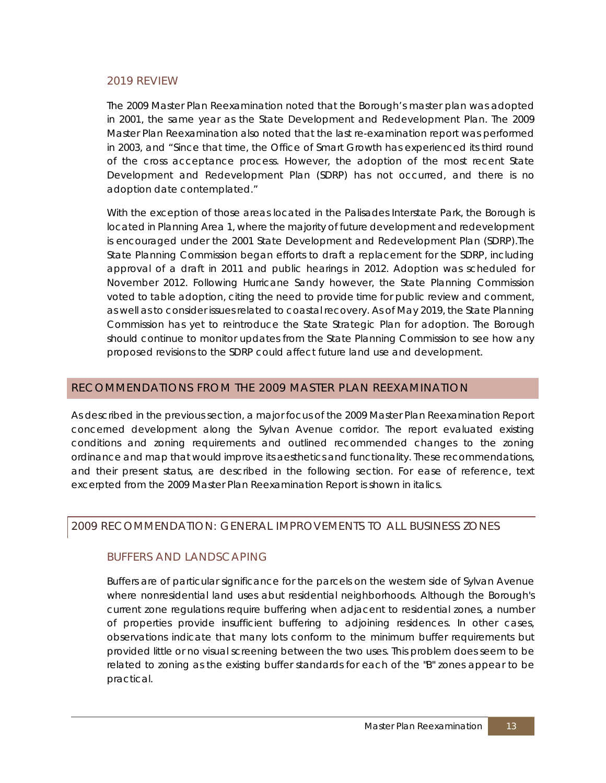# 2019 REVIEW

The 2009 Master Plan Reexamination noted that the Borough's master plan was adopted in 2001, the same year as the State Development and Redevelopment Plan. The 2009 Master Plan Reexamination also noted that the last re-examination report was performed in 2003, and *"Since that time, the Office of Smart Growth has experienced its third round of the cross acceptance process. However, the adoption of the most recent State Development and Redevelopment Plan (SDRP) has not occurred, and there is no adoption date contemplated."*

With the exception of those areas located in the Palisades Interstate Park, the Borough is located in Planning Area 1, where the majority of future development and redevelopment is encouraged under the 2001 State Development and Redevelopment Plan (SDRP).The State Planning Commission began efforts to draft a replacement for the SDRP, including approval of a draft in 2011 and public hearings in 2012. Adoption was scheduled for November 2012. Following Hurricane Sandy however, the State Planning Commission voted to table adoption, citing the need to provide time for public review and comment, as well as to consider issues related to coastal recovery. As of May 2019, the State Planning Commission has yet to reintroduce the State Strategic Plan for adoption. The Borough should continue to monitor updates from the State Planning Commission to see how any proposed revisions to the SDRP could affect future land use and development.

#### RECOMMENDATIONS FROM THE 2009 MASTER PLAN REEXAMINATION

As described in the previous section, a major focus of the 2009 Master Plan Reexamination Report concerned development along the Sylvan Avenue corridor. The report evaluated existing conditions and zoning requirements and outlined recommended changes to the zoning ordinance and map that would improve its aesthetics and functionality. These recommendations, and their present status, are described in the following section. For ease of reference, text excerpted from the 2009 Master Plan Reexamination Report is shown *in italics.*

#### 2009 RECOMMENDATION: GENERAL IMPROVEMENTS TO ALL BUSINESS ZONES

#### BUFFERS AND LANDSCAPING

*Buffers are of particular significance for the parcels on the western side of Sylvan Avenue where nonresidential land uses abut residential neighborhoods. Although the Borough's current zone regulations require buffering when adjacent to residential zones, a number of properties provide insufficient buffering to adjoining residences. In other cases, observations indicate that many lots conform to the minimum buffer requirements but provided little or no visual screening between the two uses. This problem does seem to be related to zoning as the existing buffer standards for each of the "B" zones appear to be practical.*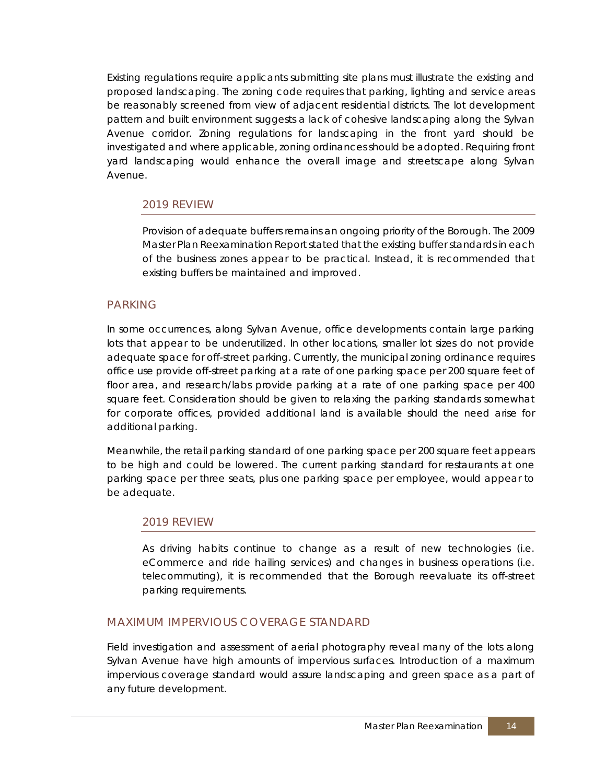*Existing regulations require applicants submitting site plans must illustrate the existing and proposed landscaping. The zoning code requires that parking, lighting and service areas be reasonably screened from view of adjacent residential districts. The lot development pattern and built environment suggests a lack of cohesive landscaping along the Sylvan Avenue corridor. Zoning regulations for landscaping in the front yard should be investigated and where applicable, zoning ordinances should be adopted. Requiring front yard landscaping would enhance the overall image and streetscape along Sylvan Avenue.*

#### 2019 REVIEW

Provision of adequate buffers remains an ongoing priority of the Borough. The 2009 Master Plan Reexamination Report stated that the existing buffer standards in each of the business zones appear to be practical. Instead, it is recommended that existing buffers be maintained and improved.

# PARKING

In some occurrences, along Sylvan Avenue, office developments contain large parking lots that appear to be underutilized. In other locations, smaller lot sizes do not provide *adequate space for off-street parking. Currently, the municipal zoning ordinance requires office use provide off-street parking at a rate of one parking space per 200 square feet of*  floor area, and research/labs provide parking at a rate of one parking space per 400 *square feet. Consideration should be given to relaxing the parking standards somewhat for corporate offices, provided additional land is available should the need arise for additional parking.*

*Meanwhile, the retail parking standard of one parking space per 200 square feet appears*  to be high and could be lowered. The current parking standard for restaurants at one *parking space per three seats, plus one parking space per employee, would appear to be adequate.*

# 2019 REVIEW

As driving habits continue to change as a result of new technologies (i.e. eCommerce and ride hailing services) and changes in business operations (i.e. telecommuting), it is recommended that the Borough reevaluate its off-street parking requirements.

#### MAXIMUM IMPERVIOUS COVERAGE STANDARD

Field investigation and assessment of aerial photography reveal many of the lots along *Sylvan Avenue have high amounts of impervious surfaces. Introduction of a maximum impervious coverage standard would assure landscaping and green space as a part of any future development.*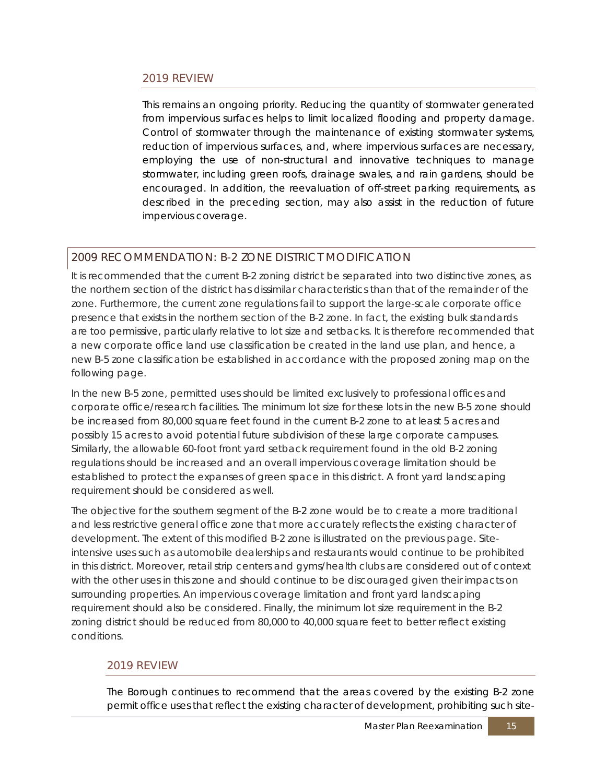#### 2019 REVIEW

This remains an ongoing priority. Reducing the quantity of stormwater generated from impervious surfaces helps to limit localized flooding and property damage. Control of stormwater through the maintenance of existing stormwater systems, reduction of impervious surfaces, and, where impervious surfaces are necessary, employing the use of non-structural and innovative techniques to manage stormwater, including green roofs, drainage swales, and rain gardens, should be encouraged. In addition, the reevaluation of off-street parking requirements, as described in the preceding section, may also assist in the reduction of future impervious coverage.

# 2009 RECOMMENDATION: B-2 ZONE DISTRICT MODIFICATION

*It is recommended that the current B-2 zoning district be separated into two distinctive zones, as the northern section of the district has dissimilar characteristics than that of the remainder of the zone. Furthermore, the current zone regulations fail to support the large-scale corporate office presence that exists in the northern section of the B-2 zone. In fact, the existing bulk standards are too permissive, particularly relative to lot size and setbacks. It is therefore recommended that a new corporate office land use classification be created in the land use plan, and hence, a new B-5 zone classification be established in accordance with the proposed zoning map on the following page.*

*In the new B-5 zone, permitted uses should be limited exclusively to professional offices and corporate office/research facilities. The minimum lot size for these lots in the new B-5 zone should be increased from 80,000 square feet found in the current B-2 zone to at least 5 acres and possibly 15 acres to avoid potential future subdivision of these large corporate campuses. Similarly, the allowable 60-foot front yard setback requirement found in the old B-2 zoning regulations should be increased and an overall impervious coverage limitation should be established to protect the expanses of green space in this district. A front yard landscaping requirement should be considered as well.*

*The objective for the southern segment of the B-2 zone would be to create a more traditional and less restrictive general office zone that more accurately reflects the existing character of development. The extent of this modified B-2 zone is illustrated on the previous page. Siteintensive uses such as automobile dealerships and restaurants would continue to be prohibited in this district. Moreover, retail strip centers and gyms/health clubs are considered out of context with the other uses in this zone and should continue to be discouraged given their impacts on surrounding properties. An impervious coverage limitation and front yard landscaping requirement should also be considered. Finally, the minimum lot size requirement in the B-2 zoning district should be reduced from 80,000 to 40,000 square feet to better reflect existing conditions.*

#### 2019 REVIEW

The Borough continues to recommend that the areas covered by the existing B-2 zone permit office uses that reflect the existing character of development, prohibiting such site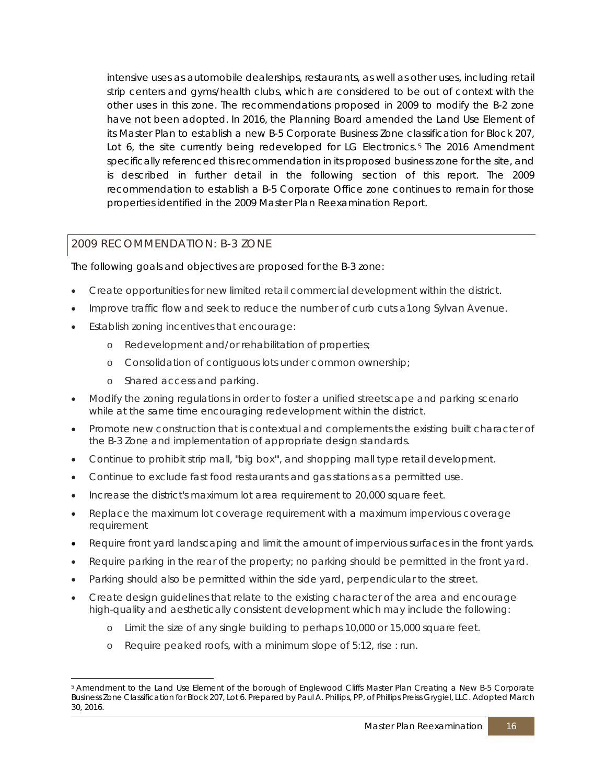intensive uses as automobile dealerships, restaurants, as well as other uses, including retail strip centers and gyms/health clubs, which are considered to be out of context with the other uses in this zone. The recommendations proposed in 2009 to modify the B-2 zone have not been adopted. In 2016, the Planning Board amended the Land Use Element of its Master Plan to establish a new B-5 Corporate Business Zone classification for Block 207, Lot 6, the site currently being redeveloped for LG Electronics.<sup>[5](#page-20-0)</sup> The 2016 Amendment specifically referenced this recommendation in its proposed business zone for the site, and is described in further detail in the following section of this report. The 2009 recommendation to establish a B-5 Corporate Office zone continues to remain for those properties identified in the 2009 Master Plan Reexamination Report.

# 2009 RECOMMENDATION: B-3 ZONE

*The following goals and objectives are proposed for the B-3 zone:*

- *Create opportunities for new limited retail commercial development within the district.*
- *Improve traffic flow and seek to reduce the number of curb cuts a1ong Sylvan Avenue.*
- *Establish zoning incentives that encourage:*
	- o *Redevelopment and/or rehabilitation of properties;*
	- o *Consolidation of contiguous lots under common ownership;*
	- o *Shared access and parking.*
- *Modify the zoning regulations in order to foster a unified streetscape and parking scenario while at the same time encouraging redevelopment within the district.*
- *Promote new construction that is contextual and complements the existing built character of the B-3 Zone and implementation of appropriate design standards.*
- *Continue to prohibit strip mall, "big box"', and shopping mall type retail development.*
- *Continue to exclude fast food restaurants and gas stations as a permitted use.*
- *Increase the district's maximum lot area requirement to 20,000 square feet.*
- *Replace the maximum lot coverage requirement with a maximum impervious coverage requirement*
- *Require front yard landscaping and limit the amount of impervious surfaces in the front yards.*
- *Require parking in the rear of the property; no parking should be permitted in the front yard.*
- *Parking should also be permitted within the side yard, perpendicular to the street.*
- *Create design guidelines that relate to the existing character of the area and encourage high-quality and aesthetically consistent development which may include the following:*
	- o *Limit the size of any single building to perhaps 10,000 or 15,000 square feet.*
	- o *Require peaked roofs, with a minimum slope of 5:12, rise : run.*

<span id="page-20-0"></span> <sup>5</sup> *Amendment to the Land Use Element of the borough of Englewood Cliffs Master Plan Creating a New B-5 Corporate Business Zone Classification for Block 207, Lot 6*. Prepared by Paul A. Phillips, PP, of Phillips Preiss Grygiel, LLC. Adopted March 30, 2016.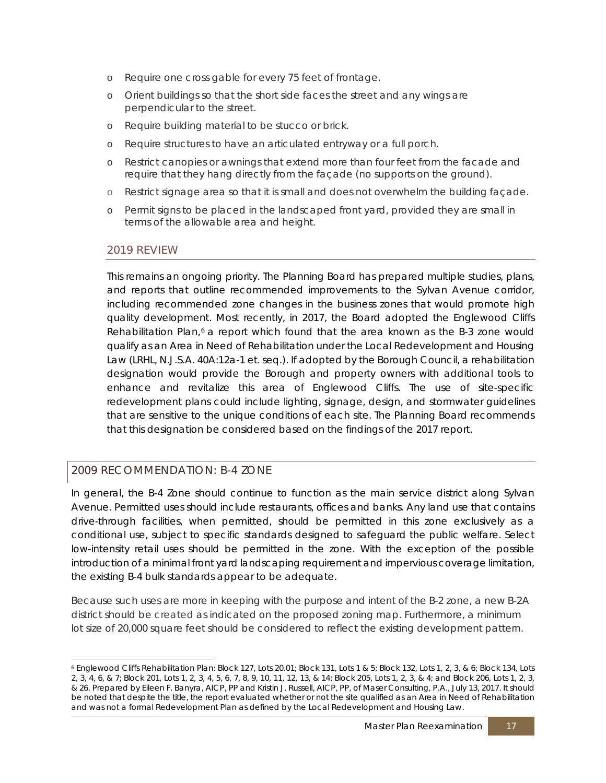- o *Require one cross gable for every 75 feet of frontage.*
- o *Orient buildings so that the short side faces the street and any wings are perpendicular to the street.*
- o *Require building material to be stucco or brick.*
- o *Require structures to have an articulated entryway or a full porch.*
- o *Restrict canopies or awnings that extend more than four feet from the facade and require that they hang directly from the façade (no supports on the ground).*
- o *Restrict signage area so that it is small and does not overwhelm the building façade.*
- o *Permit signs to be placed in the landscaped front yard, provided they are small in terms of the allowable area and height.*

#### 2019 REVIEW

This remains an ongoing priority. The Planning Board has prepared multiple studies, plans, and reports that outline recommended improvements to the Sylvan Avenue corridor, including recommended zone changes in the business zones that would promote high quality development. Most recently, in 2017, the Board adopted the *Englewood Cliffs Rehabilitation Plan*,<sup>[6](#page-21-0)</sup> a report which found that the area known as the B-3 zone would qualify as an Area in Need of Rehabilitation under the Local Redevelopment and Housing Law (LRHL, N.J.S.A. 40A:12a-1 et. seq.). If adopted by the Borough Council, a rehabilitation designation would provide the Borough and property owners with additional tools to enhance and revitalize this area of Englewood Cliffs. The use of site-specific redevelopment plans could include lighting, signage, design, and stormwater guidelines that are sensitive to the unique conditions of each site. The Planning Board recommends that this designation be considered based on the findings of the 2017 report.

#### 2009 RECOMMENDATION: B-4 ZONE

*In general, the B-4 Zone should continue to function as the main service district along Sylvan Avenue. Permitted uses should include restaurants, offices and banks. Any land use that contains drive-through facilities, when permitted, should be permitted in this zone exclusively as a conditional use, subject to specific standards designed to safeguard the public welfare. Select*  low-intensity retail uses should be permitted in the zone. With the exception of the possible *introduction of a minimal front yard landscaping requirement and impervious coverage limitation, the existing B-4 bulk standards appear to be adequate.*

*Because such uses are more in keeping with the purpose and intent of the B-2 zone, a new B-2A district should be created as indicated on the proposed zoning map. Furthermore, a minimum lot size of 20,000 square feet should be considered to reflect the existing development pattern.*

<span id="page-21-0"></span> <sup>6</sup> *Englewood Cliffs Rehabilitation Plan: Block 127, Lots 20.01; Block 131, Lots 1 & 5; Block 132, Lots 1, 2, 3, & 6; Block 134, Lots 2, 3, 4, 6, & 7; Block 201, Lots 1, 2, 3, 4, 5, 6, 7, 8, 9, 10, 11, 12, 13, & 14; Block 205, Lots 1, 2, 3, & 4; and Block 206, Lots 1, 2, 3, & 26*. Prepared by Eileen F. Banyra, AICP, PP and Kristin J. Russell, AICP, PP, of Maser Consulting, P.A., July 13, 2017. It should be noted that despite the title, the report evaluated whether or not the site qualified as an Area in Need of Rehabilitation and was not a formal Redevelopment Plan as defined by the Local Redevelopment and Housing Law.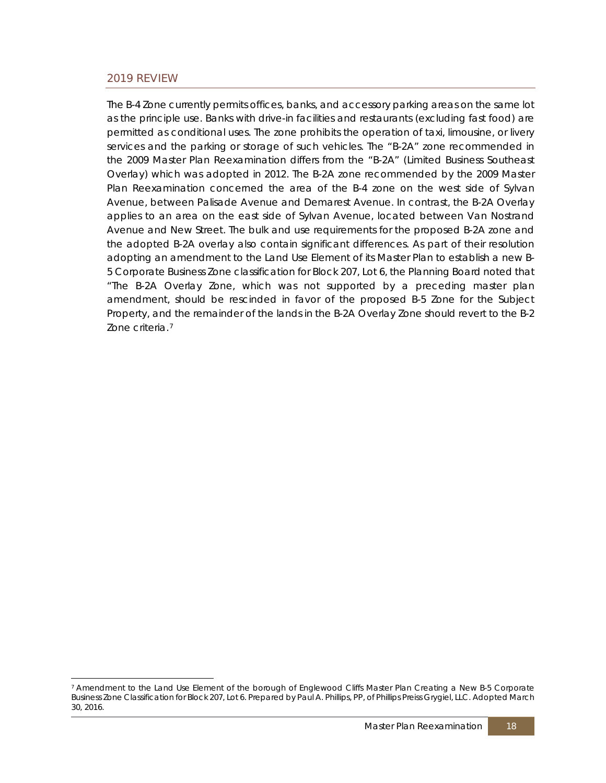#### 2019 REVIEW

The B-4 Zone currently permits offices, banks, and accessory parking areas on the same lot as the principle use. Banks with drive-in facilities and restaurants (excluding fast food) are permitted as conditional uses. The zone prohibits the operation of taxi, limousine, or livery services and the parking or storage of such vehicles. The "B-2A" zone recommended in the 2009 Master Plan Reexamination differs from the "B-2A" (Limited Business Southeast Overlay) which was adopted in 2012. The B-2A zone recommended by the 2009 Master Plan Reexamination concerned the area of the B-4 zone on the west side of Sylvan Avenue, between Palisade Avenue and Demarest Avenue. In contrast, the B-2A Overlay applies to an area on the east side of Sylvan Avenue, located between Van Nostrand Avenue and New Street. The bulk and use requirements for the proposed B-2A zone and the adopted B-2A overlay also contain significant differences. As part of their resolution adopting an amendment to the Land Use Element of its Master Plan to establish a new B-5 Corporate Business Zone classification for Block 207, Lot 6, the Planning Board noted that "The B-2A Overlay Zone, which was not supported by a preceding master plan amendment, should be rescinded in favor of the proposed B-5 Zone for the Subject Property, and the remainder of the lands in the B-2A Overlay Zone should revert to the B-2 Zone criteria.<sup>[7](#page-22-0)</sup>

<span id="page-22-0"></span> <sup>7</sup> *Amendment to the Land Use Element of the borough of Englewood Cliffs Master Plan Creating a New B-5 Corporate Business Zone Classification for Block 207, Lot 6*. Prepared by Paul A. Phillips, PP, of Phillips Preiss Grygiel, LLC. Adopted March 30, 2016.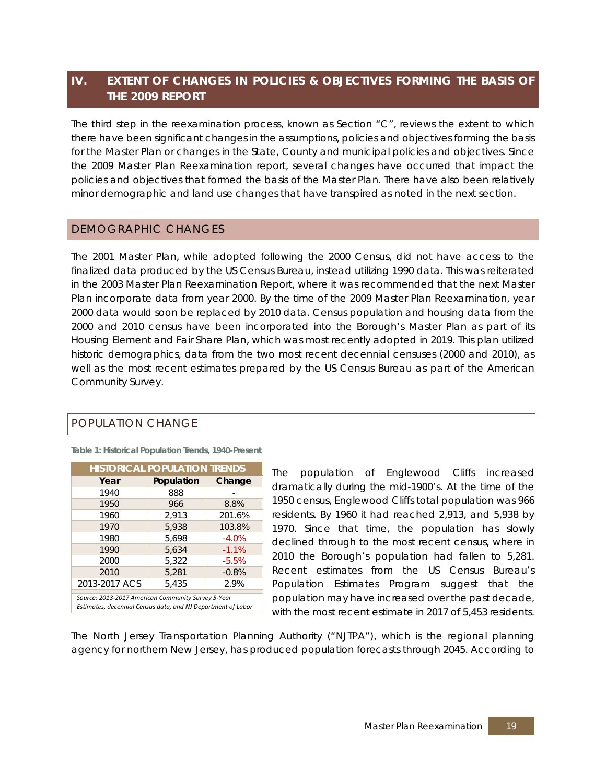# <span id="page-23-0"></span>**IV. EXTENT OF CHANGES IN POLICIES & OBJECTIVES FORMING THE BASIS OF THE 2009 REPORT**

The third step in the reexamination process, known as Section "C", reviews the extent to which there have been significant changes in the assumptions, policies and objectives forming the basis for the Master Plan or changes in the State, County and municipal policies and objectives. Since the 2009 Master Plan Reexamination report, several changes have occurred that impact the policies and objectives that formed the basis of the Master Plan. There have also been relatively minor demographic and land use changes that have transpired as noted in the next section.

#### DEMOGRAPHIC CHANGES

The 2001 Master Plan, while adopted following the 2000 Census, did not have access to the finalized data produced by the US Census Bureau, instead utilizing 1990 data. This was reiterated in the 2003 Master Plan Reexamination Report, where it was recommended that the next Master Plan incorporate data from year 2000. By the time of the 2009 Master Plan Reexamination, year 2000 data would soon be replaced by 2010 data. Census population and housing data from the 2000 and 2010 census have been incorporated into the Borough's Master Plan as part of its Housing Element and Fair Share Plan, which was most recently adopted in 2019. This plan utilized historic demographics, data from the two most recent decennial censuses (2000 and 2010), as well as the most recent estimates prepared by the US Census Bureau as part of the American Community Survey.

#### POPULATION CHANGE

**Table 1: Historical Population Trends, 1940-Present**

| <b>HISTORICAL POPULATION TRENDS</b>                                                                                |            |         |  |  |  |
|--------------------------------------------------------------------------------------------------------------------|------------|---------|--|--|--|
| Year                                                                                                               | Population | Change  |  |  |  |
| 1940                                                                                                               | 888        |         |  |  |  |
| 1950                                                                                                               | 966        | 8.8%    |  |  |  |
| 1960                                                                                                               | 2,913      | 201.6%  |  |  |  |
| 1970                                                                                                               | 5.938      | 103.8%  |  |  |  |
| 1980                                                                                                               | 5,698      | $-4.0%$ |  |  |  |
| 1990                                                                                                               | 5,634      | $-1.1%$ |  |  |  |
| 2000                                                                                                               | 5,322      | $-5.5%$ |  |  |  |
| 2010                                                                                                               | 5,281      | $-0.8%$ |  |  |  |
| 2013-2017 ACS                                                                                                      | 5,435      | 2.9%    |  |  |  |
| Source: 2013-2017 American Community Survey 5-Year<br>Estimates, decennial Census data, and NJ Department of Labor |            |         |  |  |  |

The population of Englewood Cliffs increased dramatically during the mid-1900's. At the time of the 1950 census, Englewood Cliffs total population was 966 residents. By 1960 it had reached 2,913, and 5,938 by 1970. Since that time, the population has slowly declined through to the most recent census, where in 2010 the Borough's population had fallen to 5,281. Recent estimates from the US Census Bureau's Population Estimates Program suggest that the population may have increased over the past decade, with the most recent estimate in 2017 of 5,453 residents.

The North Jersey Transportation Planning Authority ("NJTPA"), which is the regional planning agency for northern New Jersey, has produced population forecasts through 2045. According to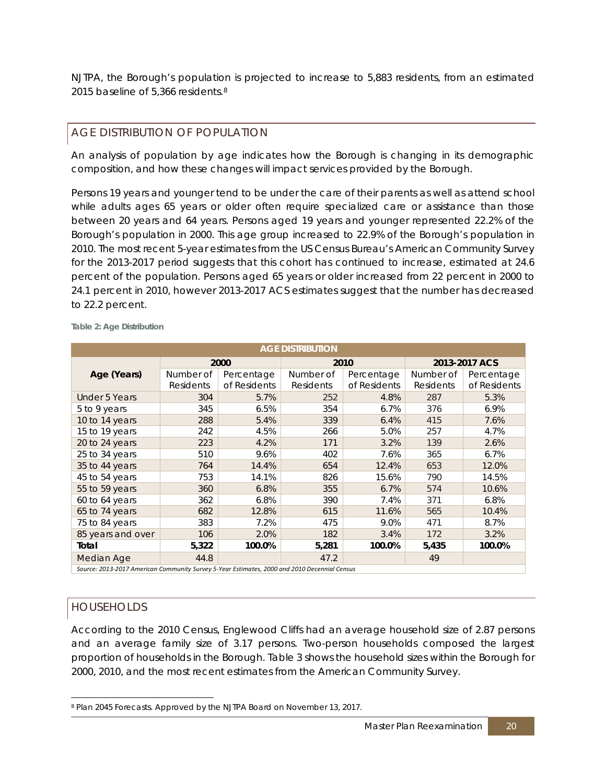NJTPA, the Borough's population is projected to increase to 5,883 residents, from an estimated 2015 baseline of 5,366 residents.[8](#page-24-0)

# AGE DISTRIBUTION OF POPULATION

An analysis of population by age indicates how the Borough is changing in its demographic composition, and how these changes will impact services provided by the Borough.

Persons 19 years and younger tend to be under the care of their parents as well as attend school while adults ages 65 years or older often require specialized care or assistance than those between 20 years and 64 years. Persons aged 19 years and younger represented 22.2% of the Borough's population in 2000. This age group increased to 22.9% of the Borough's population in 2010. The most recent 5-year estimates from the US Census Bureau's American Community Survey for the 2013-2017 period suggests that this cohort has continued to increase, estimated at 24.6 percent of the population. Persons aged 65 years or older increased from 22 percent in 2000 to 24.1 percent in 2010, however 2013-2017 ACS estimates suggest that the number has decreased to 22.2 percent.

| <b>AGE DISTRIBUTION</b>                                                                      |           |              |           |              |                  |              |  |
|----------------------------------------------------------------------------------------------|-----------|--------------|-----------|--------------|------------------|--------------|--|
|                                                                                              |           | 2000         |           | 2010         | 2013-2017 ACS    |              |  |
| Age (Years)                                                                                  | Number of | Percentage   | Number of | Percentage   | Number of        | Percentage   |  |
|                                                                                              | Residents | of Residents | Residents | of Residents | <b>Residents</b> | of Residents |  |
| <b>Under 5 Years</b>                                                                         | 304       | 5.7%         | 252       | 4.8%         | 287              | 5.3%         |  |
| 5 to 9 years                                                                                 | 345       | 6.5%         | 354       | 6.7%         | 376              | 6.9%         |  |
| 10 to 14 years                                                                               | 288       | 5.4%         | 339       | 6.4%         | 415              | 7.6%         |  |
| 15 to 19 years                                                                               | 242       | 4.5%         | 266       | 5.0%         | 257              | 4.7%         |  |
| 20 to 24 years                                                                               | 223       | 4.2%         | 171       | 3.2%         | 139              | 2.6%         |  |
| 25 to 34 years                                                                               | 510       | 9.6%         | 402       | 7.6%         | 365              | 6.7%         |  |
| 35 to 44 years                                                                               | 764       | 14.4%        | 654       | 12.4%        | 653              | 12.0%        |  |
| 45 to 54 years                                                                               | 753       | 14.1%        | 826       | 15.6%        | 790              | 14.5%        |  |
| 55 to 59 years                                                                               | 360       | 6.8%         | 355       | 6.7%         | 574              | 10.6%        |  |
| 60 to 64 years                                                                               | 362       | 6.8%         | 390       | 7.4%         | 371              | 6.8%         |  |
| 65 to 74 years                                                                               | 682       | 12.8%        | 615       | 11.6%        | 565              | 10.4%        |  |
| 75 to 84 years                                                                               | 383       | 7.2%         | 475       | 9.0%         | 471              | 8.7%         |  |
| 85 years and over                                                                            | 106       | 2.0%         | 182       | 3.4%         | 172              | 3.2%         |  |
| Total                                                                                        | 5,322     | 100.0%       | 5,281     | 100.0%       | 5,435            | 100.0%       |  |
| Median Age                                                                                   | 44.8      |              | 47.2      |              | 49               |              |  |
| Source: 2013-2017 American Community Survey 5-Year Estimates, 2000 and 2010 Decennial Census |           |              |           |              |                  |              |  |

**Table 2: Age Distribution**

# HOUSEHOLDS

According to the 2010 Census, Englewood Cliffs had an average household size of 2.87 persons and an average family size of 3.17 persons. Two-person households composed the largest proportion of households in the Borough. Table 3 shows the household sizes within the Borough for 2000, 2010, and the most recent estimates from the American Community Survey.

<span id="page-24-0"></span> <sup>8</sup> Plan 2045 Forecasts. Approved by the NJTPA Board on November 13, 2017.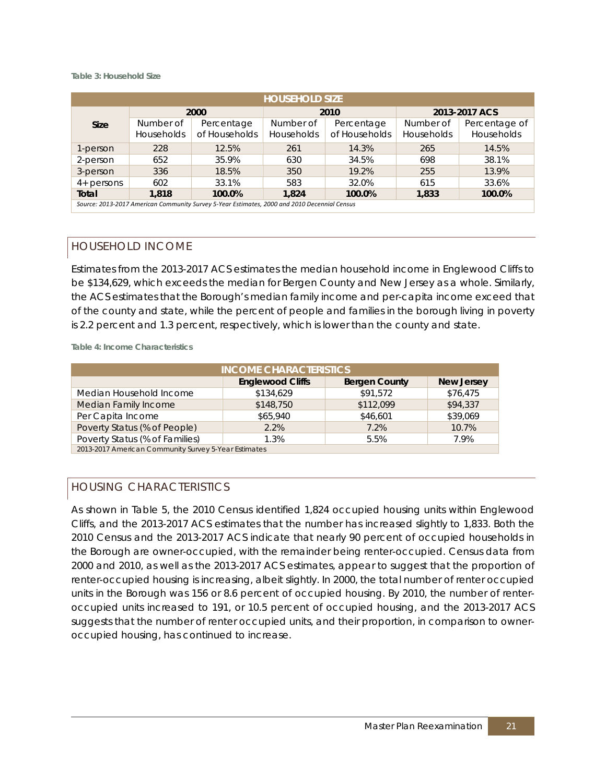#### **Table 3: Household Size**

| <b>HOUSEHOLD SIZE</b>                                |                   |                                                                                              |            |               |                   |               |  |  |
|------------------------------------------------------|-------------------|----------------------------------------------------------------------------------------------|------------|---------------|-------------------|---------------|--|--|
|                                                      |                   | 2000                                                                                         |            | 2010          | 2013-2017 ACS     |               |  |  |
| <b>Size</b>                                          | Number of         | Percentage                                                                                   | Number of  | Percentage    | Number of         | Percentage of |  |  |
|                                                      | <b>Households</b> | of Households                                                                                | Households | of Households | <b>Households</b> | Households    |  |  |
| 1-person                                             | 228               | 12.5%                                                                                        | 261        | 14.3%         | 265               | 14.5%         |  |  |
| 2-person                                             | 652               | 35.9%                                                                                        | 630        | 34.5%         | 698               | 38.1%         |  |  |
| 3-person                                             | 336               | 18.5%                                                                                        | 350        | 19.2%         | 255               | 13.9%         |  |  |
| $4+$ persons                                         | 602               | 33.1%                                                                                        | 583        | 32.0%         | 615               | 33.6%         |  |  |
| Total<br>1,818<br>100.0%<br>100.0%<br>1,824<br>1,833 |                   |                                                                                              |            |               | 100.0%            |               |  |  |
|                                                      |                   | Source: 2013-2017 American Community Survey 5-Year Estimates, 2000 and 2010 Decennial Census |            |               |                   |               |  |  |

# HOUSEHOLD INCOME

Estimates from the 2013-2017 ACS estimates the median household income in Englewood Cliffs to be \$134,629, which exceeds the median for Bergen County and New Jersey as a whole. Similarly, the ACS estimates that the Borough's median family income and per-capita income exceed that of the county and state, while the percent of people and families in the borough living in poverty is 2.2 percent and 1.3 percent, respectively, which is lower than the county and state.

**Table 4: Income Characteristics**

| <b>INCOME CHARACTERISTICS</b>                                        |           |           |          |  |  |  |
|----------------------------------------------------------------------|-----------|-----------|----------|--|--|--|
| <b>Englewood Cliffs</b><br><b>Bergen County</b><br><b>New Jersey</b> |           |           |          |  |  |  |
| Median Household Income                                              | \$134,629 | \$91,572  | \$76,475 |  |  |  |
| Median Family Income                                                 | \$148,750 | \$112,099 | \$94,337 |  |  |  |
| Per Capita Income                                                    | \$65,940  | \$46,601  | \$39,069 |  |  |  |
| Poverty Status (% of People)                                         | 2.2%      | 7.2%      | 10.7%    |  |  |  |
| Poverty Status (% of Families)<br>1.3%<br>7.9%<br>5.5%               |           |           |          |  |  |  |
| 2013-2017 American Community Survey 5-Year Estimates                 |           |           |          |  |  |  |

#### HOUSING CHARACTERISTICS

As shown in Table 5, the 2010 Census identified 1,824 occupied housing units within Englewood Cliffs, and the 2013-2017 ACS estimates that the number has increased slightly to 1,833. Both the 2010 Census and the 2013-2017 ACS indicate that nearly 90 percent of occupied households in the Borough are owner-occupied, with the remainder being renter-occupied. Census data from 2000 and 2010, as well as the 2013-2017 ACS estimates, appear to suggest that the proportion of renter-occupied housing is increasing, albeit slightly. In 2000, the total number of renter occupied units in the Borough was 156 or 8.6 percent of occupied housing. By 2010, the number of renteroccupied units increased to 191, or 10.5 percent of occupied housing, and the 2013-2017 ACS suggests that the number of renter occupied units, and their proportion, in comparison to owneroccupied housing, has continued to increase.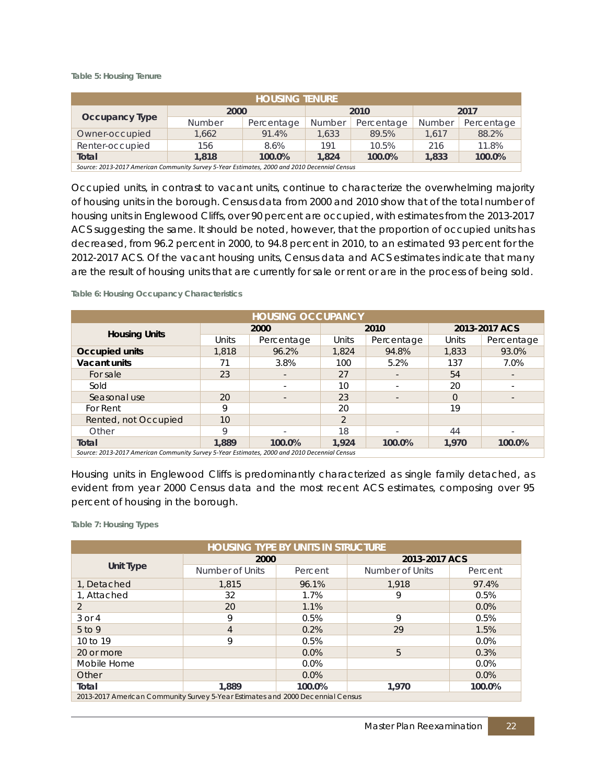**Table 5: Housing Tenure**

| <b>HOUSING TENURE</b>                                                                        |               |            |        |            |        |            |  |
|----------------------------------------------------------------------------------------------|---------------|------------|--------|------------|--------|------------|--|
|                                                                                              | 2000          |            | 2010   |            | 2017   |            |  |
| Occupancy Type                                                                               | <b>Number</b> | Percentage | Number | Percentage | Number | Percentage |  |
| Owner-occupied                                                                               | 1.662         | 91.4%      | 1.633  | 89.5%      | 1.617  | 88.2%      |  |
| Renter-occupied                                                                              | 156           | 8.6%       | 191    | 10.5%      | 216    | 11.8%      |  |
| 100.0%<br>100.0%<br>100.0%<br>Total<br>1,824<br>1,818<br>1,833                               |               |            |        |            |        |            |  |
| Source: 2013-2017 American Community Survey 5-Year Estimates, 2000 and 2010 Decennial Census |               |            |        |            |        |            |  |

Occupied units, in contrast to vacant units, continue to characterize the overwhelming majority of housing units in the borough. Census data from 2000 and 2010 show that of the total number of housing units in Englewood Cliffs, over 90 percent are occupied, with estimates from the 2013-2017 ACS suggesting the same. It should be noted, however, that the proportion of occupied units has decreased, from 96.2 percent in 2000, to 94.8 percent in 2010, to an estimated 93 percent for the 2012-2017 ACS. Of the vacant housing units, Census data and ACS estimates indicate that many are the result of housing units that are currently for sale or rent or are in the process of being sold.

**Table 6: Housing Occupancy Characteristics**

| <b>HOUSING OCCUPANCY</b>                                                                     |       |            |               |                          |               |            |
|----------------------------------------------------------------------------------------------|-------|------------|---------------|--------------------------|---------------|------------|
|                                                                                              |       | 2000       | 2010          |                          | 2013-2017 ACS |            |
| <b>Housing Units</b>                                                                         | Units | Percentage | Units         | Percentage               | Units         | Percentage |
| Occupied units                                                                               | 1,818 | 96.2%      | 1,824         | 94.8%                    | 1,833         | 93.0%      |
| Vacant units                                                                                 | 71    | 3.8%       | 100           | 5.2%                     | 137           | 7.0%       |
| For sale                                                                                     | 23    |            | 27            |                          | 54            |            |
| Sold                                                                                         |       |            | 10            |                          | 20            |            |
| Seasonal use                                                                                 | 20    |            | 23            | $\overline{\phantom{a}}$ | $\Omega$      |            |
| <b>For Rent</b>                                                                              | 9     |            | 20            |                          | 19            |            |
| Rented, not Occupied                                                                         | 10    |            | $\mathcal{P}$ |                          |               |            |
| Other                                                                                        | 9     |            | 18            |                          | 44            |            |
| Total                                                                                        | 1.889 | 100.0%     | 1,924         | 100.0%                   | 1,970         | 100.0%     |
| Source: 2013-2017 American Community Survey 5-Year Estimates, 2000 and 2010 Decennial Census |       |            |               |                          |               |            |

Housing units in Englewood Cliffs is predominantly characterized as single family detached, as evident from year 2000 Census data and the most recent ACS estimates, composing over 95 percent of housing in the borough.

**Table 7: Housing Types**

| <b>HOUSING TYPE BY UNITS IN STRUCTURE</b>                                      |                 |         |                 |         |  |  |
|--------------------------------------------------------------------------------|-----------------|---------|-----------------|---------|--|--|
|                                                                                | 2000            |         | 2013-2017 ACS   |         |  |  |
| Unit Type                                                                      | Number of Units | Percent | Number of Units | Percent |  |  |
| 1, Detached                                                                    | 1.815           | 96.1%   | 1.918           | 97.4%   |  |  |
| 1, Attached                                                                    | 32              | 1.7%    | 9               | 0.5%    |  |  |
| 2                                                                              | 20              | 1.1%    |                 | 0.0%    |  |  |
| 3 or 4                                                                         | 9               | 0.5%    | 9               | 0.5%    |  |  |
| $5$ to 9                                                                       | 4               | 0.2%    | 29              | 1.5%    |  |  |
| 10 to 19                                                                       | 9               | 0.5%    |                 | 0.0%    |  |  |
| 20 or more                                                                     |                 | 0.0%    | 5               | 0.3%    |  |  |
| Mobile Home                                                                    |                 | $0.0\%$ |                 | 0.0%    |  |  |
| Other                                                                          |                 | 0.0%    |                 | 0.0%    |  |  |
| Total                                                                          | 1,889           | 100.0%  | 1,970           | 100.0%  |  |  |
| 2013-2017 American Community Survey 5-Year Estimates and 2000 Decennial Census |                 |         |                 |         |  |  |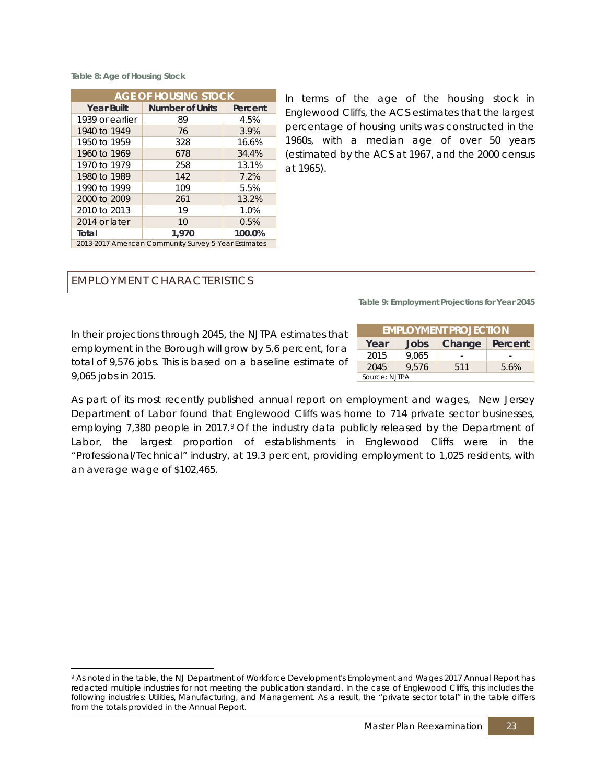**Table 8: Age of Housing Stock**

| <b>AGE OF HOUSING STOCK</b> |                                                      |         |  |  |  |
|-----------------------------|------------------------------------------------------|---------|--|--|--|
| <b>Year Built</b>           | <b>Number of Units</b>                               | Percent |  |  |  |
| 1939 or earlier             | 89                                                   | 4.5%    |  |  |  |
| 1940 to 1949                | 76                                                   | 3.9%    |  |  |  |
| 1950 to 1959                | 328                                                  | 16.6%   |  |  |  |
| 1960 to 1969                | 678                                                  | 34.4%   |  |  |  |
| 1970 to 1979                | 258                                                  | 13.1%   |  |  |  |
| 1980 to 1989                | 142                                                  | 7.2%    |  |  |  |
| 1990 to 1999                | 109                                                  | 5.5%    |  |  |  |
| 2000 to 2009                | 261                                                  | 13.2%   |  |  |  |
| 2010 to 2013                | 19                                                   | 1.0%    |  |  |  |
| 2014 or later               | 10                                                   | 0.5%    |  |  |  |
| Total                       | 1.970                                                | 100.0%  |  |  |  |
|                             | 2013-2017 American Community Survey 5-Year Estimates |         |  |  |  |

In terms of the age of the housing stock in Englewood Cliffs, the ACS estimates that the largest percentage of housing units was constructed in the 1960s, with a median age of over 50 years (estimated by the ACS at 1967, and the 2000 census at 1965).

# EMPLOYMENT CHARACTERISTICS

**Table 9: Employment Projections for Year 2045**

In their projections through 2045, the NJTPA estimates that employment in the Borough will grow by 5.6 percent, for a total of 9,576 jobs. This is based on a baseline estimate of 9,065 jobs in 2015.

| <b>EMPLOYMENT PROJECTION</b> |       |        |         |  |  |  |
|------------------------------|-------|--------|---------|--|--|--|
| Year                         | Jobs  | Change | Percent |  |  |  |
| 2015                         | 9.065 |        |         |  |  |  |
| 2045                         | 9.576 | 511    | 5.6%    |  |  |  |
| Source: NJTPA                |       |        |         |  |  |  |

As part of its most recently published annual report on employment and wages, New Jersey Department of Labor found that Englewood Cliffs was home to 714 private sector businesses, employing 7,380 people in 2017.[9](#page-27-0) Of the industry data publicly released by the Department of Labor, the largest proportion of establishments in Englewood Cliffs were in the "Professional/Technical" industry, at 19.3 percent, providing employment to 1,025 residents, with an average wage of \$102,465.

<span id="page-27-0"></span><sup>9</sup> As noted in the table, the NJ Department of Workforce Development's Employment and Wages 2017 Annual Report has redacted multiple industries for not meeting the publication standard. In the case of Englewood Cliffs, this includes the following industries: Utilities, Manufacturing, and Management. As a result, the "private sector total" in the table differs from the totals provided in the Annual Report.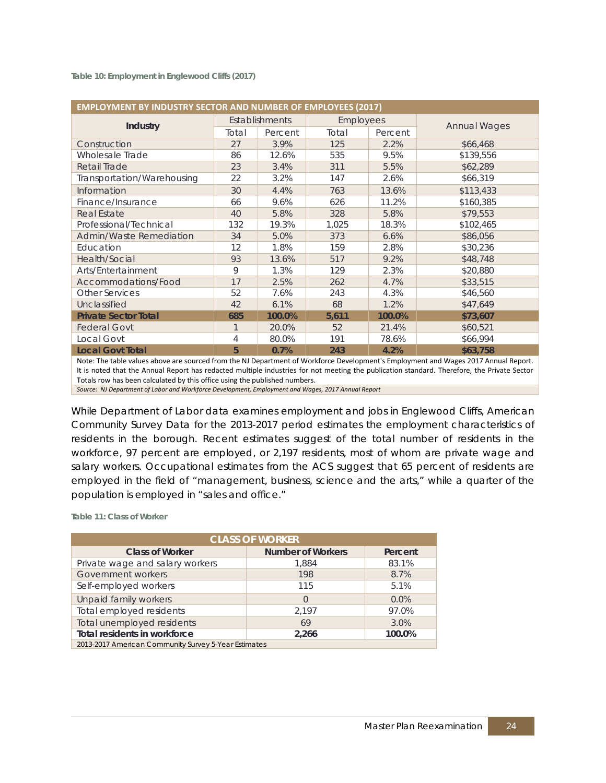**Table 10: Employment in Englewood Cliffs (2017)**

| <b>EMPLOYMENT BY INDUSTRY SECTOR AND NUMBER OF EMPLOYEES (2017)</b>                                                                                                                                          |       |                       |                  |         |                     |  |
|--------------------------------------------------------------------------------------------------------------------------------------------------------------------------------------------------------------|-------|-----------------------|------------------|---------|---------------------|--|
|                                                                                                                                                                                                              |       | <b>Establishments</b> | <b>Employees</b> |         |                     |  |
| <b>Industry</b>                                                                                                                                                                                              | Total | Percent               | Total            | Percent | <b>Annual Wages</b> |  |
| Construction                                                                                                                                                                                                 | 27    | 3.9%                  | 125              | 2.2%    | \$66,468            |  |
| Wholesale Trade                                                                                                                                                                                              | 86    | 12.6%                 | 535              | 9.5%    | \$139,556           |  |
| Retail Trade                                                                                                                                                                                                 | 23    | 3.4%                  | 311              | 5.5%    | \$62,289            |  |
| Transportation/Warehousing                                                                                                                                                                                   | 22    | 3.2%                  | 147              | 2.6%    | \$66,319            |  |
| Information                                                                                                                                                                                                  | 30    | 4.4%                  | 763              | 13.6%   | \$113,433           |  |
| Finance/Insurance                                                                                                                                                                                            | 66    | 9.6%                  | 626              | 11.2%   | \$160,385           |  |
| <b>Real Estate</b>                                                                                                                                                                                           | 40    | 5.8%                  | 328              | 5.8%    | \$79,553            |  |
| Professional/Technical                                                                                                                                                                                       | 132   | 19.3%                 | 1.025            | 18.3%   | \$102,465           |  |
| Admin/Waste Remediation                                                                                                                                                                                      | 34    | 5.0%                  | 373              | 6.6%    | \$86,056            |  |
| Education                                                                                                                                                                                                    | 12    | 1.8%                  | 159              | 2.8%    | \$30,236            |  |
| Health/Social                                                                                                                                                                                                | 93    | 13.6%                 | 517              | 9.2%    | \$48,748            |  |
| Arts/Entertainment                                                                                                                                                                                           | 9     | 1.3%                  | 129              | 2.3%    | \$20,880            |  |
| Accommodations/Food                                                                                                                                                                                          | 17    | 2.5%                  | 262              | 4.7%    | \$33,515            |  |
| <b>Other Services</b>                                                                                                                                                                                        | 52    | 7.6%                  | 243              | 4.3%    | \$46,560            |  |
| Unclassified                                                                                                                                                                                                 | 42    | 6.1%                  | 68               | 1.2%    | \$47,649            |  |
| <b>Private Sector Total</b>                                                                                                                                                                                  | 685   | 100.0%                | 5,611            | 100.0%  | \$73,607            |  |
| <b>Federal Govt</b>                                                                                                                                                                                          |       | 20.0%                 | 52               | 21.4%   | \$60,521            |  |
| Local Govt                                                                                                                                                                                                   | 4     | 80.0%                 | 191              | 78.6%   | \$66,994            |  |
| <b>Local Govt Total</b>                                                                                                                                                                                      | 5     | 0.7%                  | 243              | 4.2%    | \$63,758            |  |
| Note: The table values above are sourced from the NJ Department of Workforce Development's Employment and Wages 2017 Annual Report.                                                                          |       |                       |                  |         |                     |  |
| It is noted that the Annual Report has redacted multiple industries for not meeting the publication standard. Therefore, the Private Sector                                                                  |       |                       |                  |         |                     |  |
| Totals row has been calculated by this office using the published numbers.<br>$\sim 1000$ and $\sim 1$ the count $M_{\odot}$ the continuation of $L_{\odot}$ and $M_{\odot}$ and $M_{\odot}$ and $\sim 2047$ |       |                       |                  |         |                     |  |

*Source: NJ Department of Labor and Workforce Development, Employment and Wages, 2017 Annual Report*

While Department of Labor data examines employment and jobs in Englewood Cliffs, American Community Survey Data for the 2013-2017 period estimates the employment characteristics of residents in the borough. Recent estimates suggest of the total number of residents in the workforce, 97 percent are employed, or 2,197 residents, most of whom are private wage and salary workers. Occupational estimates from the ACS suggest that 65 percent of residents are employed in the field of "management, business, science and the arts," while a quarter of the population is employed in "sales and office."

**Table 11: Class of Worker**

| <b>CLASS OF WORKER</b>                               |                          |         |  |  |  |  |
|------------------------------------------------------|--------------------------|---------|--|--|--|--|
| <b>Class of Worker</b>                               | <b>Number of Workers</b> | Percent |  |  |  |  |
| Private wage and salary workers                      | 1,884                    | 83.1%   |  |  |  |  |
| Government workers                                   | 198                      | 8.7%    |  |  |  |  |
| Self-employed workers                                | 115                      | 5.1%    |  |  |  |  |
| Unpaid family workers                                | $\Omega$                 | $0.0\%$ |  |  |  |  |
| Total employed residents                             | 2,197                    | 97.0%   |  |  |  |  |
| Total unemployed residents                           | 69                       | 3.0%    |  |  |  |  |
| Total residents in workforce                         | 2.266                    | 100.0%  |  |  |  |  |
| 2013-2017 American Community Survey 5-Year Estimates |                          |         |  |  |  |  |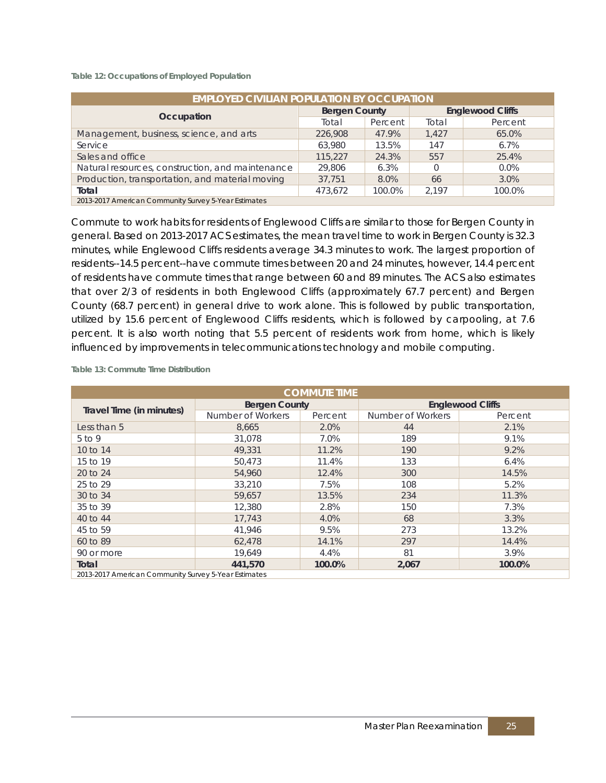**Table 12: Occupations of Employed Population**

| <b>EMPLOYED CIVILIAN POPULATION BY OCCUPATION</b>    |                      |         |                         |         |  |
|------------------------------------------------------|----------------------|---------|-------------------------|---------|--|
| Occupation                                           | <b>Bergen County</b> |         | <b>Englewood Cliffs</b> |         |  |
|                                                      | Total                | Percent | Total                   | Percent |  |
| Management, business, science, and arts              | 226,908              | 47.9%   | 1.427                   | 65.0%   |  |
| Service                                              | 63,980               | 13.5%   | 147                     | 6.7%    |  |
| Sales and office                                     | 115,227              | 24.3%   | 557                     | 25.4%   |  |
| Natural resources, construction, and maintenance     | 29,806               | 6.3%    | 0                       | $0.0\%$ |  |
| Production, transportation, and material moving      | 37,751               | 8.0%    | 66                      | 3.0%    |  |
| Total                                                | 473,672              | 100.0%  | 2.197                   | 100.0%  |  |
| 2013-2017 American Community Survey 5-Year Estimates |                      |         |                         |         |  |

Commute to work habits for residents of Englewood Cliffs are similar to those for Bergen County in general. Based on 2013-2017 ACS estimates, the mean travel time to work in Bergen County is 32.3 minutes, while Englewood Cliffs residents average 34.3 minutes to work. The largest proportion of residents--14.5 percent--have commute times between 20 and 24 minutes, however, 14.4 percent of residents have commute times that range between 60 and 89 minutes. The ACS also estimates that over 2/3 of residents in both Englewood Cliffs (approximately 67.7 percent) and Bergen County (68.7 percent) in general drive to work alone. This is followed by public transportation, utilized by 15.6 percent of Englewood Cliffs residents, which is followed by carpooling, at 7.6 percent. It is also worth noting that 5.5 percent of residents work from home, which is likely influenced by improvements in telecommunications technology and mobile computing.

**Table 13: Commute Time Distribution**

| <b>COMMUTE TIME</b>                                              |                      |         |                         |         |  |
|------------------------------------------------------------------|----------------------|---------|-------------------------|---------|--|
| Travel Time (in minutes)                                         | <b>Bergen County</b> |         | <b>Englewood Cliffs</b> |         |  |
|                                                                  | Number of Workers    | Percent | Number of Workers       | Percent |  |
| Less than 5                                                      | 8,665                | 2.0%    | 44                      | 2.1%    |  |
| $5$ to 9                                                         | 31,078               | 7.0%    | 189                     | 9.1%    |  |
| 10 to 14                                                         | 49,331               | 11.2%   | 190                     | 9.2%    |  |
| 15 to 19                                                         | 50,473               | 11.4%   | 133                     | 6.4%    |  |
| 20 to 24                                                         | 54,960               | 12.4%   | 300                     | 14.5%   |  |
| 25 to 29                                                         | 33,210               | 7.5%    | 108                     | 5.2%    |  |
| 30 to 34                                                         | 59,657               | 13.5%   | 234                     | 11.3%   |  |
| 35 to 39                                                         | 12,380               | 2.8%    | 150                     | 7.3%    |  |
| 40 to 44                                                         | 17,743               | 4.0%    | 68                      | 3.3%    |  |
| 45 to 59                                                         | 41,946               | 9.5%    | 273                     | 13.2%   |  |
| 60 to 89                                                         | 62,478               | 14.1%   | 297                     | 14.4%   |  |
| 90 or more                                                       | 19.649               | 4.4%    | 81                      | 3.9%    |  |
| Total<br>2012, 2017, American Cammunity Survey E. Voor Estimator | 441.570              | 100.0%  | 2,067                   | 100.0%  |  |

*2013-2017 American Community Survey 5-Year Estimates*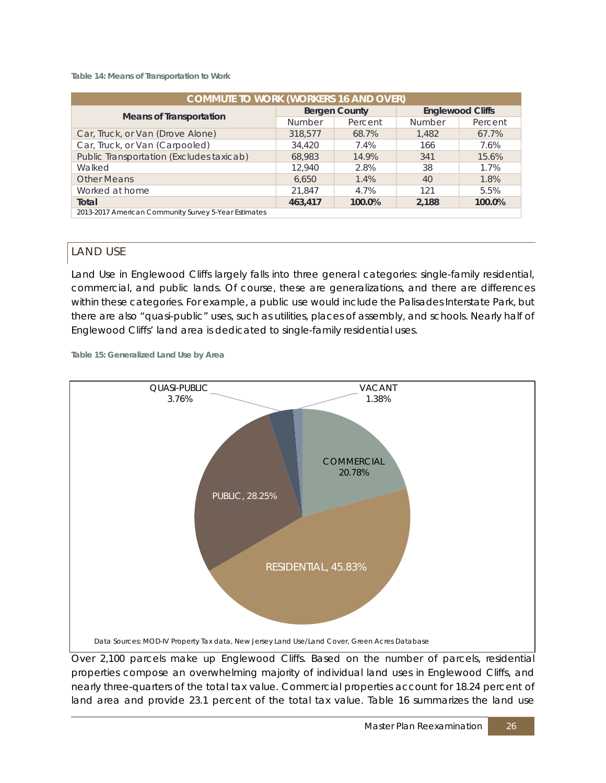#### **Table 14: Means of Transportation to Work**

| <b>COMMUTE TO WORK (WORKERS 16 AND OVER)</b>         |                      |         |                         |         |
|------------------------------------------------------|----------------------|---------|-------------------------|---------|
|                                                      | <b>Bergen County</b> |         | <b>Englewood Cliffs</b> |         |
| <b>Means of Transportation</b>                       | <b>Number</b>        | Percent | <b>Number</b>           | Percent |
| Car, Truck, or Van (Drove Alone)                     | 318,577              | 68.7%   | 1,482                   | 67.7%   |
| Car, Truck, or Van (Carpooled)                       | 34,420               | 7.4%    | 166                     | 7.6%    |
| Public Transportation (Excludes taxicab)             | 68,983               | 14.9%   | 341                     | 15.6%   |
| Walked                                               | 12,940               | 2.8%    | 38                      | 1.7%    |
| <b>Other Means</b>                                   | 6.650                | 1.4%    | 40                      | 1.8%    |
| Worked at home                                       | 21,847               | 4.7%    | 121                     | 5.5%    |
| Total                                                | 463,417              | 100.0%  | 2,188                   | 100.0%  |
| 2013-2017 American Community Survey 5-Year Estimates |                      |         |                         |         |

#### LAND USE

Land Use in Englewood Cliffs largely falls into three general categories: single-family residential, commercial, and public lands. Of course, these are generalizations, and there are differences within these categories. For example, a public use would include the Palisades Interstate Park, but there are also "quasi-public" uses, such as utilities, places of assembly, and schools. Nearly half of Englewood Cliffs' land area is dedicated to single-family residential uses.

**Table 15: Generalized Land Use by Area**



Over 2,100 parcels make up Englewood Cliffs. Based on the number of parcels, residential properties compose an overwhelming majority of individual land uses in Englewood Cliffs, and nearly three-quarters of the total tax value. Commercial properties account for 18.24 percent of land area and provide 23.1 percent of the total tax value. Table 16 summarizes the land use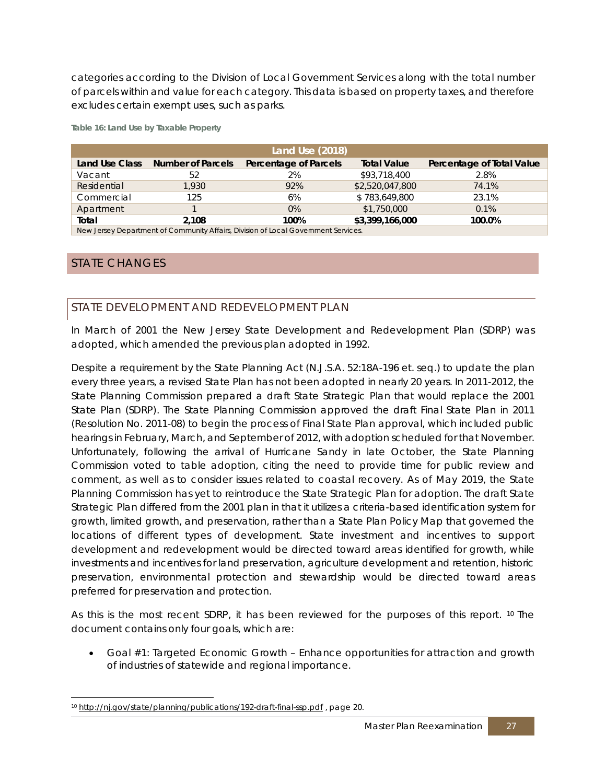categories according to the Division of Local Government Services along with the total number of parcels within and value for each category. This data is based on property taxes, and therefore excludes certain exempt uses, such as parks.

| Land Use (2018) |                   |                       |                    |                           |
|-----------------|-------------------|-----------------------|--------------------|---------------------------|
| Land Use Class  | Number of Parcels | Percentage of Parcels | <b>Total Value</b> | Percentage of Total Value |
| Vacant          | 52                | 2%                    | \$93,718,400       | 2.8%                      |
| Residential     | 1.930             | 92%                   | \$2,520,047,800    | 74.1%                     |
| Commercial      | 125               | 6%                    | \$783,649,800      | 23.1%                     |
| Apartment       |                   | $0\%$                 | \$1,750,000        | 0.1%                      |
| Total           | 2,108             | 100%                  | \$3,399,166,000    | 100.0%                    |

**Table 16: Land Use by Taxable Property**

*New Jersey Department of Community Affairs, Division of Local Government Services.*

# STATE CHANGES

# STATE DEVELOPMENT AND REDEVELOPMENT PLAN

In March of 2001 the New Jersey State Development and Redevelopment Plan (SDRP) was adopted, which amended the previous plan adopted in 1992.

Despite a requirement by the State Planning Act (N.J.S.A. 52:18A-196 et. seq.) to update the plan every three years, a revised State Plan has not been adopted in nearly 20 years. In 2011-2012, the State Planning Commission prepared a draft State Strategic Plan that would replace the 2001 State Plan (SDRP). The State Planning Commission approved the draft Final State Plan in 2011 (Resolution No. 2011-08) to begin the process of Final State Plan approval, which included public hearings in February, March, and September of 2012, with adoption scheduled for that November. Unfortunately, following the arrival of Hurricane Sandy in late October, the State Planning Commission voted to table adoption, citing the need to provide time for public review and comment, as well as to consider issues related to coastal recovery. As of May 2019, the State Planning Commission has yet to reintroduce the State Strategic Plan for adoption. The draft State Strategic Plan differed from the 2001 plan in that it utilizes a criteria-based identification system for growth, limited growth, and preservation, rather than a State Plan Policy Map that governed the locations of different types of development. State investment and incentives to support development and redevelopment would be directed toward areas identified for growth, while investments and incentives for land preservation, agriculture development and retention, historic preservation, environmental protection and stewardship would be directed toward areas preferred for preservation and protection.

As this is the most recent SDRP, it has been reviewed for the purposes of this report. <sup>[10](#page-31-0)</sup> The document contains only four goals, which are:

• Goal #1: Targeted Economic Growth – Enhance opportunities for attraction and growth of industries of statewide and regional importance.

<span id="page-31-0"></span><sup>10</sup> <http://nj.gov/state/planning/publications/192-draft-final-ssp.pdf>, page 20.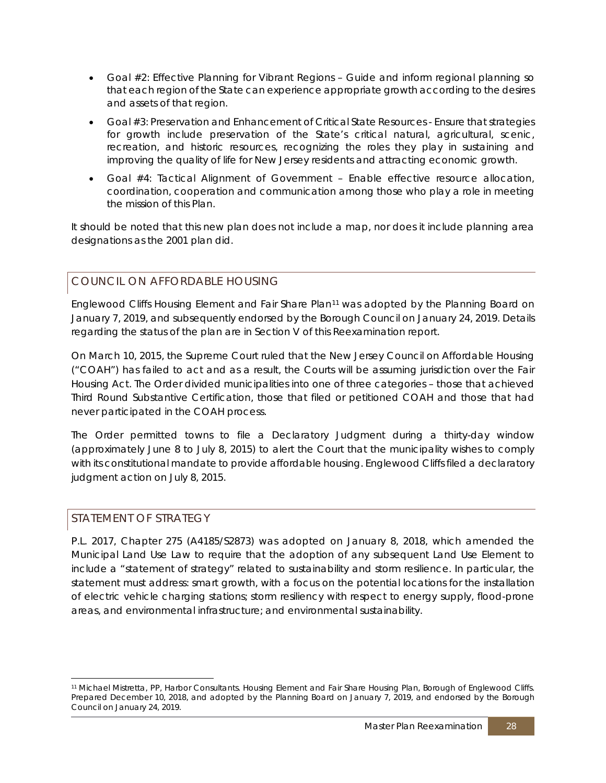- Goal #2: Effective Planning for Vibrant Regions Guide and inform regional planning so that each region of the State can experience appropriate growth according to the desires and assets of that region.
- Goal #3: Preservation and Enhancement of Critical State Resources Ensure that strategies for growth include preservation of the State's critical natural, agricultural, scenic, recreation, and historic resources, recognizing the roles they play in sustaining and improving the quality of life for New Jersey residents and attracting economic growth.
- Goal #4: Tactical Alignment of Government Enable effective resource allocation, coordination, cooperation and communication among those who play a role in meeting the mission of this Plan.

It should be noted that this new plan does not include a map, nor does it include planning area designations as the 2001 plan did.

# COUNCIL ON AFFORDABLE HOUSING

Englewood Cliffs Housing Element and Fair Share Plan[11](#page-32-0) was adopted by the Planning Board on January 7, 2019, and subsequently endorsed by the Borough Council on January 24, 2019. Details regarding the status of the plan are in Section V of this Reexamination report.

On March 10, 2015, the Supreme Court ruled that the New Jersey Council on Affordable Housing ("COAH") has failed to act and as a result, the Courts will be assuming jurisdiction over the Fair Housing Act. The Order divided municipalities into one of three categories – those that achieved Third Round Substantive Certification, those that filed or petitioned COAH and those that had never participated in the COAH process.

The Order permitted towns to file a Declaratory Judgment during a thirty-day window (approximately June 8 to July 8, 2015) to alert the Court that the municipality wishes to comply with its constitutional mandate to provide affordable housing. Englewood Cliffs filed a declaratory judgment action on July 8, 2015.

#### STATEMENT OF STRATEGY

P.L. 2017, Chapter 275 (A4185/S2873) was adopted on January 8, 2018, which amended the Municipal Land Use Law to require that the adoption of any subsequent Land Use Element to include a "statement of strategy" related to sustainability and storm resilience. In particular, the statement must address: smart growth, with a focus on the potential locations for the installation of electric vehicle charging stations; storm resiliency with respect to energy supply, flood-prone areas, and environmental infrastructure; and environmental sustainability.

<span id="page-32-0"></span> <sup>11</sup> Michael Mistretta, PP, Harbor Consultants. Housing Element and Fair Share Housing Plan, Borough of Englewood Cliffs. Prepared December 10, 2018, and adopted by the Planning Board on January 7, 2019, and endorsed by the Borough Council on January 24, 2019.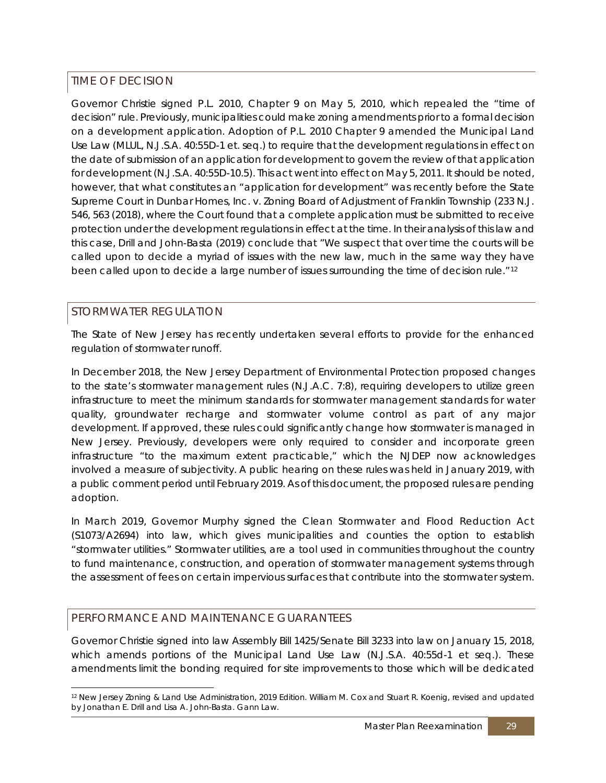# TIME OF DECISION

Governor Christie signed P.L. 2010, Chapter 9 on May 5, 2010, which repealed the "time of decision" rule. Previously, municipalities could make zoning amendments prior to a formal decision on a development application. Adoption of P.L. 2010 Chapter 9 amended the Municipal Land Use Law (MLUL, N.J.S.A. 40:55D-1 et. seq.) to require that the development regulations in effect on the date of submission of an application for development to govern the review of that application for development (N.J.S.A. 40:55D-10.5). This act went into effect on May 5, 2011. It should be noted, however, that what constitutes an "application for development" was recently before the State Supreme Court in *Dunbar Homes, Inc. v. Zoning Board of Adjustment of Franklin Township (233 N.J. 546, 563 (2018)*, where the Court found that a complete application must be submitted to receive protection under the development regulations in effect at the time. In their analysis of this law and this case, Drill and John-Basta (2019) conclude that "We suspect that over time the courts will be called upon to decide a myriad of issues with the new law, much in the same way they have been called upon to decide a large number of issues surrounding the time of decision rule."<sup>[12](#page-33-0)</sup>

# STORMWATER REGULATION

The State of New Jersey has recently undertaken several efforts to provide for the enhanced regulation of stormwater runoff.

In December 2018, the New Jersey Department of Environmental Protection proposed changes to the state's stormwater management rules (N.J.A.C. 7:8), requiring developers to utilize green infrastructure to meet the minimum standards for stormwater management standards for water quality, groundwater recharge and stormwater volume control as part of any major development. If approved, these rules could significantly change how stormwater is managed in New Jersey. Previously, developers were only required to consider and incorporate green infrastructure "to the maximum extent practicable," which the NJDEP now acknowledges involved a measure of subjectivity. A public hearing on these rules was held in January 2019, with a public comment period until February 2019. As of this document, the proposed rules are pending adoption.

In March 2019, Governor Murphy signed the Clean Stormwater and Flood Reduction Act (S1073/A2694) into law, which gives municipalities and counties the option to establish "stormwater utilities." Stormwater utilities, are a tool used in communities throughout the country to fund maintenance, construction, and operation of stormwater management systems through the assessment of fees on certain impervious surfaces that contribute into the stormwater system.

#### PERFORMANCE AND MAINTENANCE GUARANTEES

Governor Christie signed into law Assembly Bill 1425/Senate Bill 3233 into law on January 15, 2018, which amends portions of the Municipal Land Use Law (N.J.S.A. 40:55d-1 et seq.). These amendments limit the bonding required for site improvements to those which will be dedicated

<span id="page-33-0"></span> <sup>12</sup> *New Jersey Zoning & Land Use Administration, 2019 Edition. William M. Cox and Stuart R. Koenig, revised and updated by Jonathan E. Drill and Lisa A. John-Basta. Gann Law.*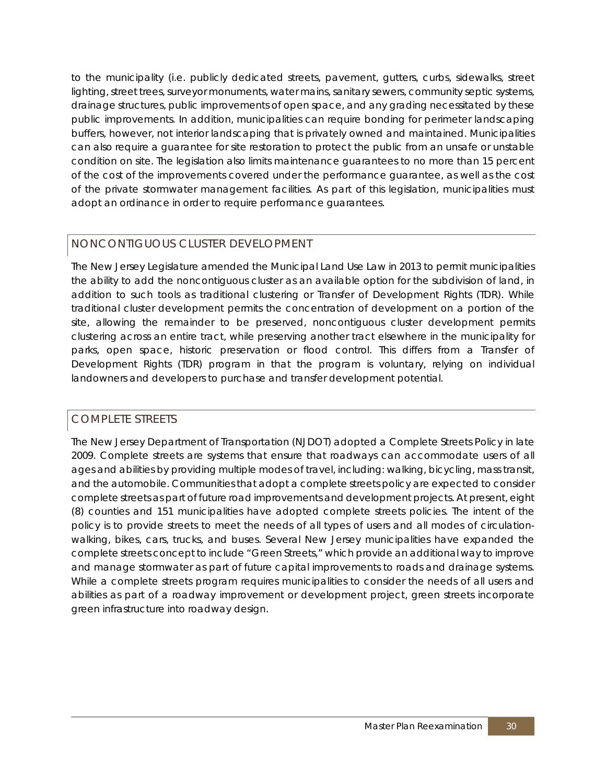to the municipality (i.e. publicly dedicated streets, pavement, gutters, curbs, sidewalks, street lighting, street trees, surveyor monuments, water mains, sanitary sewers, community septic systems, drainage structures, public improvements of open space, and any grading necessitated by these public improvements. In addition, municipalities can require bonding for perimeter landscaping buffers, however, not interior landscaping that is privately owned and maintained. Municipalities can also require a guarantee for site restoration to protect the public from an unsafe or unstable condition on site. The legislation also limits maintenance guarantees to no more than 15 percent of the cost of the improvements covered under the performance guarantee, as well as the cost of the private stormwater management facilities. As part of this legislation, municipalities must adopt an ordinance in order to require performance guarantees.

# NONCONTIGUOUS CLUSTER DEVELOPMENT

The New Jersey Legislature amended the Municipal Land Use Law in 2013 to permit municipalities the ability to add the noncontiguous cluster as an available option for the subdivision of land, in addition to such tools as traditional clustering or Transfer of Development Rights (TDR). While traditional cluster development permits the concentration of development on a portion of the site, allowing the remainder to be preserved, noncontiguous cluster development permits clustering across an entire tract, while preserving another tract elsewhere in the municipality for parks, open space, historic preservation or flood control. This differs from a Transfer of Development Rights (TDR) program in that the program is voluntary, relying on individual landowners and developers to purchase and transfer development potential.

# COMPLETE STREETS

The New Jersey Department of Transportation (NJDOT) adopted a Complete Streets Policy in late 2009. Complete streets are systems that ensure that roadways can accommodate users of all ages and abilities by providing multiple modes of travel, including: walking, bicycling, mass transit, and the automobile. Communities that adopt a complete streets policy are expected to consider complete streets as part of future road improvements and development projects. At present, eight (8) counties and 151 municipalities have adopted complete streets policies. The intent of the policy is to provide streets to meet the needs of all types of users and all modes of circulationwalking, bikes, cars, trucks, and buses. Several New Jersey municipalities have expanded the complete streets concept to include "Green Streets," which provide an additional way to improve and manage stormwater as part of future capital improvements to roads and drainage systems. While a complete streets program requires municipalities to consider the needs of all users and abilities as part of a roadway improvement or development project, green streets incorporate green infrastructure into roadway design.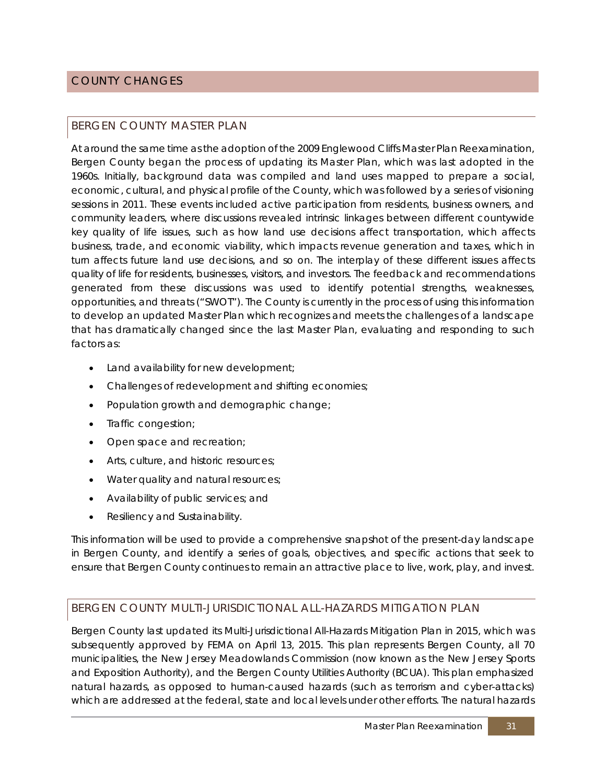# COUNTY CHANGES

#### BERGEN COUNTY MASTER PLAN

At around the same time as the adoption of the 2009 Englewood Cliffs Master Plan Reexamination, Bergen County began the process of updating its Master Plan, which was last adopted in the 1960s. Initially, background data was compiled and land uses mapped to prepare a social, economic, cultural, and physical profile of the County, which was followed by a series of visioning sessions in 2011. These events included active participation from residents, business owners, and community leaders, where discussions revealed intrinsic linkages between different countywide key quality of life issues, such as how land use decisions affect transportation, which affects business, trade, and economic viability, which impacts revenue generation and taxes, which in turn affects future land use decisions, and so on. The interplay of these different issues affects quality of life for residents, businesses, visitors, and investors. The feedback and recommendations generated from these discussions was used to identify potential strengths, weaknesses, opportunities, and threats ("SWOT"). The County is currently in the process of using this information to develop an updated Master Plan which recognizes and meets the challenges of a landscape that has dramatically changed since the last Master Plan, evaluating and responding to such factors as:

- Land availability for new development;
- Challenges of redevelopment and shifting economies;
- Population growth and demographic change;
- Traffic congestion;
- Open space and recreation;
- Arts, culture, and historic resources;
- Water quality and natural resources;
- Availability of public services; and
- Resiliency and Sustainability.

This information will be used to provide a comprehensive snapshot of the present-day landscape in Bergen County, and identify a series of goals, objectives, and specific actions that seek to ensure that Bergen County continues to remain an attractive place to live, work, play, and invest.

#### BERGEN COUNTY MULTI-JURISDICTIONAL ALL-HAZARDS MITIGATION PLAN

Bergen County last updated its Multi-Jurisdictional All-Hazards Mitigation Plan in 2015, which was subsequently approved by FEMA on April 13, 2015. This plan represents Bergen County, all 70 municipalities, the New Jersey Meadowlands Commission (now known as the New Jersey Sports and Exposition Authority), and the Bergen County Utilities Authority (BCUA). This plan emphasized natural hazards, as opposed to human-caused hazards (such as terrorism and cyber-attacks) which are addressed at the federal, state and local levels under other efforts. The natural hazards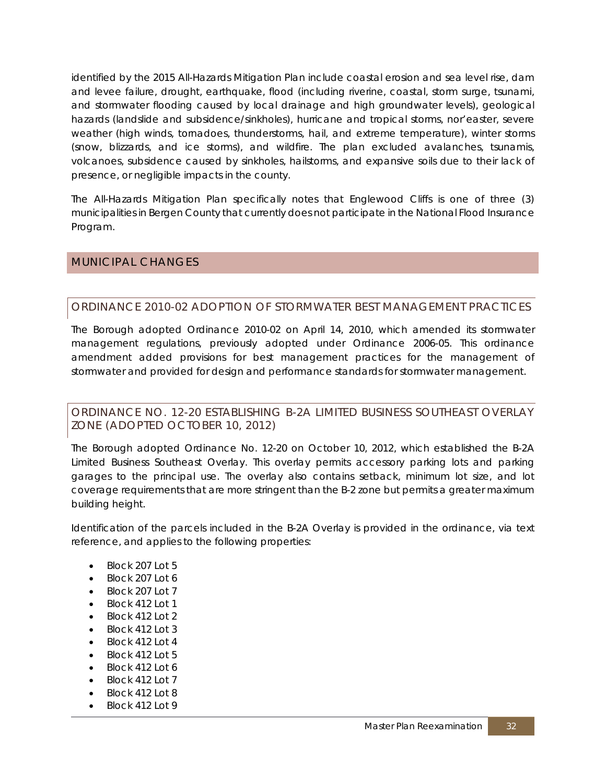identified by the 2015 All-Hazards Mitigation Plan include coastal erosion and sea level rise, dam and levee failure, drought, earthquake, flood (including riverine, coastal, storm surge, tsunami, and stormwater flooding caused by local drainage and high groundwater levels), geological hazards (landslide and subsidence/sinkholes), hurricane and tropical storms, nor'easter, severe weather (high winds, tornadoes, thunderstorms, hail, and extreme temperature), winter storms (snow, blizzards, and ice storms), and wildfire. The plan excluded avalanches, tsunamis, volcanoes, subsidence caused by sinkholes, hailstorms, and expansive soils due to their lack of presence, or negligible impacts in the county.

The All-Hazards Mitigation Plan specifically notes that Englewood Cliffs is one of three (3) municipalities in Bergen County that currently does not participate in the National Flood Insurance Program.

#### MUNICIPAL CHANGES

#### ORDINANCE 2010-02 ADOPTION OF STORMWATER BEST MANAGEMENT PRACTICES

The Borough adopted Ordinance 2010-02 on April 14, 2010, which amended its stormwater management regulations, previously adopted under Ordinance 2006-05. This ordinance amendment added provisions for best management practices for the management of stormwater and provided for design and performance standards for stormwater management.

#### ORDINANCE NO. 12-20 ESTABLISHING B-2A LIMITED BUSINESS SOUTHEAST OVERLAY ZONE (ADOPTED OCTOBER 10, 2012)

The Borough adopted Ordinance No. 12-20 on October 10, 2012, which established the B-2A Limited Business Southeast Overlay. This overlay permits accessory parking lots and parking garages to the principal use. The overlay also contains setback, minimum lot size, and lot coverage requirements that are more stringent than the B-2 zone but permits a greater maximum building height.

Identification of the parcels included in the B-2A Overlay is provided in the ordinance, via text reference, and applies to the following properties:

- Block 207 Lot 5
- Block 207 Lot 6
- Block 207 Lot 7
- Block 412 Lot 1
- Block 412 Lot 2
- Block 412 Lot 3
- Block 412 Lot 4
- Block 412 Lot 5
- Block 412 Lot 6
- Block 412 Lot 7
- Block 412 Lot 8
- Block 412 Lot 9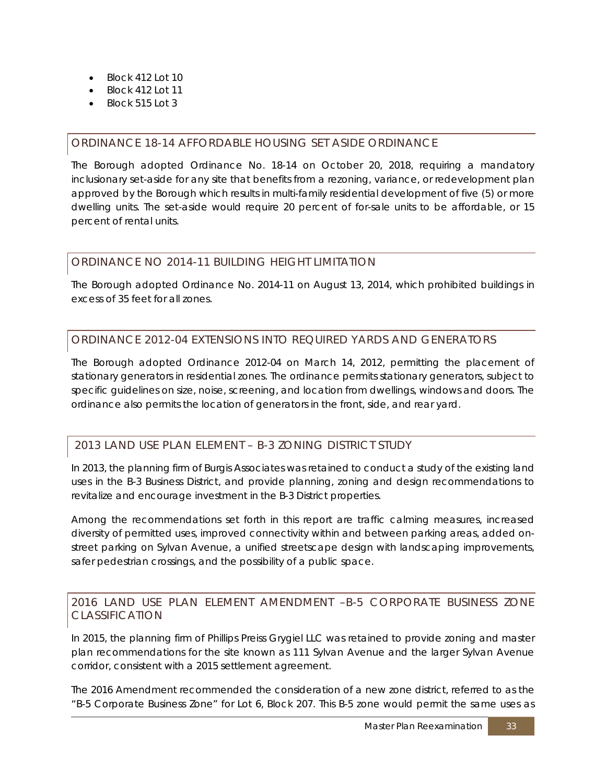- Block 412 Lot 10
- Block 412 Lot 11
- Block 515 Lot 3

### ORDINANCE 18-14 AFFORDABLE HOUSING SET ASIDE ORDINANCE

The Borough adopted Ordinance No. 18-14 on October 20, 2018, requiring a mandatory inclusionary set-aside for any site that benefits from a rezoning, variance, or redevelopment plan approved by the Borough which results in multi-family residential development of five (5) or more dwelling units. The set-aside would require 20 percent of for-sale units to be affordable, or 15 percent of rental units.

# ORDINANCE NO 2014-11 BUILDING HEIGHT LIMITATION

The Borough adopted Ordinance No. 2014-11 on August 13, 2014, which prohibited buildings in excess of 35 feet for all zones.

# ORDINANCE 2012-04 EXTENSIONS INTO REQUIRED YARDS AND GENERATORS

The Borough adopted Ordinance 2012-04 on March 14, 2012, permitting the placement of stationary generators in residential zones. The ordinance permits stationary generators, subject to specific guidelines on size, noise, screening, and location from dwellings, windows and doors. The ordinance also permits the location of generators in the front, side, and rear yard.

# 2013 LAND USE PLAN ELEMENT – B-3 ZONING DISTRICT STUDY

In 2013, the planning firm of Burgis Associates was retained to conduct a study of the existing land uses in the B-3 Business District, and provide planning, zoning and design recommendations to revitalize and encourage investment in the B-3 District properties.

Among the recommendations set forth in this report are traffic calming measures, increased diversity of permitted uses, improved connectivity within and between parking areas, added onstreet parking on Sylvan Avenue, a unified streetscape design with landscaping improvements, safer pedestrian crossings, and the possibility of a public space.

#### 2016 LAND USE PLAN ELEMENT AMENDMENT –B-5 CORPORATE BUSINESS ZONE CLASSIFICATION

In 2015, the planning firm of Phillips Preiss Grygiel LLC was retained to provide zoning and master plan recommendations for the site known as 111 Sylvan Avenue and the larger Sylvan Avenue corridor, consistent with a 2015 settlement agreement.

The 2016 Amendment recommended the consideration of a new zone district, referred to as the "B-5 Corporate Business Zone" for Lot 6, Block 207. This B-5 zone would permit the same uses as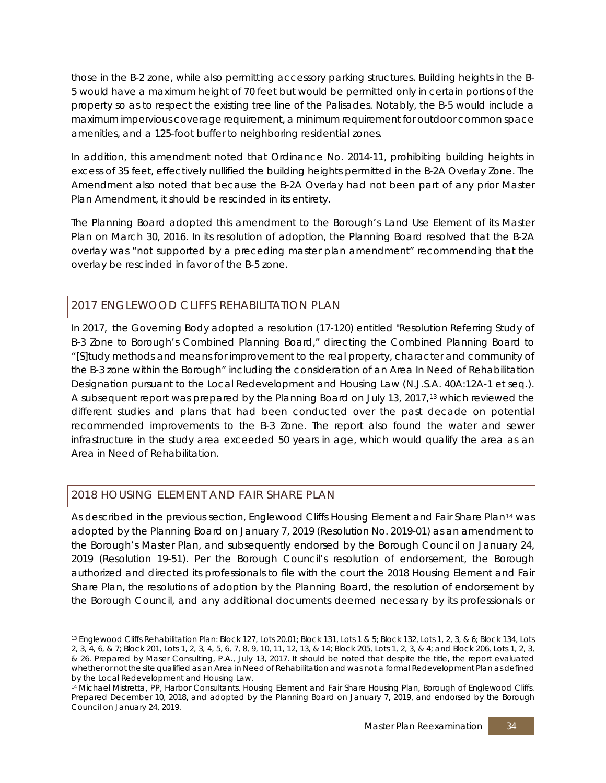those in the B-2 zone, while also permitting accessory parking structures. Building heights in the B-5 would have a maximum height of 70 feet but would be permitted only in certain portions of the property so as to respect the existing tree line of the Palisades. Notably, the B-5 would include a maximum impervious coverage requirement, a minimum requirement for outdoor common space amenities, and a 125-foot buffer to neighboring residential zones.

In addition, this amendment noted that Ordinance No. 2014-11, prohibiting building heights in excess of 35 feet, effectively nullified the building heights permitted in the B-2A Overlay Zone. The Amendment also noted that because the B-2A Overlay had not been part of any prior Master Plan Amendment, it should be rescinded in its entirety.

The Planning Board adopted this amendment to the Borough's Land Use Element of its Master Plan on March 30, 2016. In its resolution of adoption, the Planning Board resolved that the B-2A overlay was "not supported by a preceding master plan amendment" recommending that the overlay be rescinded in favor of the B-5 zone.

# 2017 ENGLEWOOD CLIFFS REHABILITATION PLAN

In 2017, the Governing Body adopted a resolution (17-120) entitled "Resolution Referring Study of B-3 Zone to Borough's Combined Planning Board," directing the Combined Planning Board to "[S]tudy methods and means for improvement to the real property, character and community of the B-3 zone within the Borough" including the consideration of an Area In Need of Rehabilitation Designation pursuant to the Local Redevelopment and Housing Law (N.J.S.A. 40A:12A-1 et seq.). A subsequent report was prepared by the Planning Board on July 13, 2017,[13](#page-38-0) which reviewed the different studies and plans that had been conducted over the past decade on potential recommended improvements to the B-3 Zone. The report also found the water and sewer infrastructure in the study area exceeded 50 years in age, which would qualify the area as an Area in Need of Rehabilitation.

# 2018 HOUSING ELEMENT AND FAIR SHARE PLAN

As described in the previous section, Englewood Cliffs Housing Element and Fair Share Plan<sup>[14](#page-38-1)</sup> was adopted by the Planning Board on January 7, 2019 (Resolution No. 2019-01) as an amendment to the Borough's Master Plan, and subsequently endorsed by the Borough Council on January 24, 2019 (Resolution 19-51). Per the Borough Council's resolution of endorsement, the Borough authorized and directed its professionals to file with the court the 2018 Housing Element and Fair Share Plan, the resolutions of adoption by the Planning Board, the resolution of endorsement by the Borough Council, and any additional documents deemed necessary by its professionals or

<span id="page-38-0"></span> <sup>13</sup> *Englewood Cliffs Rehabilitation Plan: Block 127, Lots 20.01; Block 131, Lots 1 & 5; Block 132, Lots 1, 2, 3, & 6; Block 134, Lots 2, 3, 4, 6, & 7; Block 201, Lots 1, 2, 3, 4, 5, 6, 7, 8, 9, 10, 11, 12, 13, & 14; Block 205, Lots 1, 2, 3, & 4; and Block 206, Lots 1, 2, 3, & 26*. Prepared by Maser Consulting, P.A., July 13, 2017. It should be noted that despite the title, the report evaluated whether or not the site qualified as an Area in Need of Rehabilitation and was not a formal Redevelopment Plan as defined by the Local Redevelopment and Housing Law.

<span id="page-38-1"></span><sup>14</sup> Michael Mistretta, PP, Harbor Consultants. *Housing Element and Fair Share Housing Plan, Borough of Englewood Cliffs*. Prepared December 10, 2018, and adopted by the Planning Board on January 7, 2019, and endorsed by the Borough Council on January 24, 2019.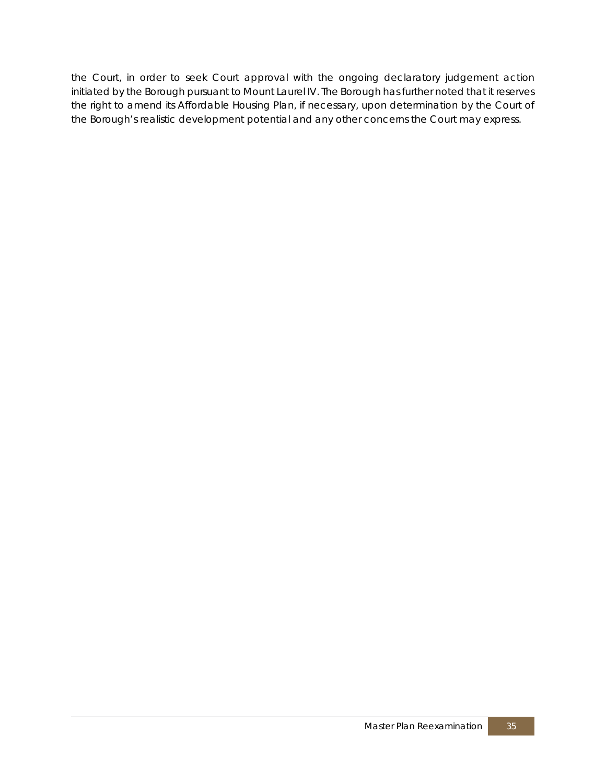the Court, in order to seek Court approval with the ongoing declaratory judgement action initiated by the Borough pursuant to Mount Laurel IV. The Borough has further noted that it reserves the right to amend its Affordable Housing Plan, if necessary, upon determination by the Court of the Borough's realistic development potential and any other concerns the Court may express.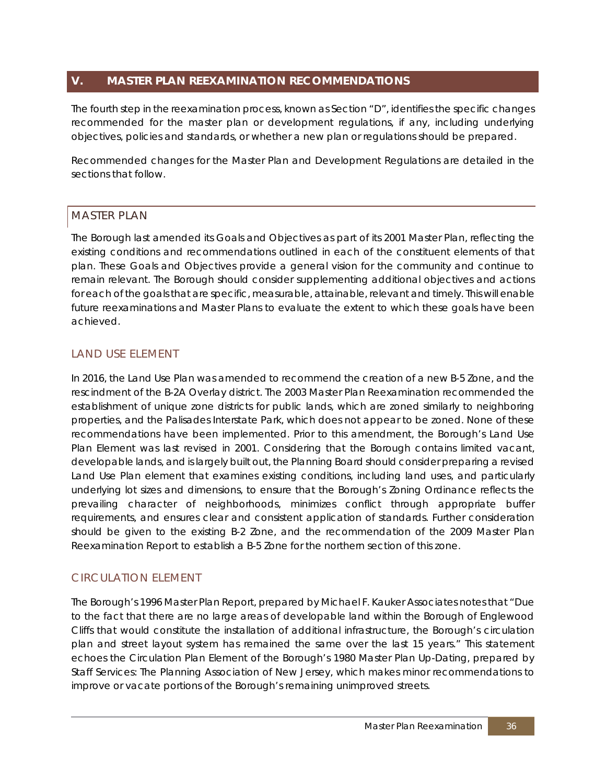# <span id="page-40-0"></span>**V. MASTER PLAN REEXAMINATION RECOMMENDATIONS**

The fourth step in the reexamination process, known as Section "D", identifies the specific changes recommended for the master plan or development regulations, if any, including underlying objectives, policies and standards, or whether a new plan or regulations should be prepared.

Recommended changes for the Master Plan and Development Regulations are detailed in the sections that follow.

#### MASTER PLAN

The Borough last amended its Goals and Objectives as part of its 2001 Master Plan, reflecting the existing conditions and recommendations outlined in each of the constituent elements of that plan. These Goals and Objectives provide a general vision for the community and continue to remain relevant. The Borough should consider supplementing additional objectives and actions for each of the goals that are specific, measurable, attainable, relevant and timely. This will enable future reexaminations and Master Plans to evaluate the extent to which these goals have been achieved.

# LAND USE ELEMENT

In 2016, the Land Use Plan was amended to recommend the creation of a new B-5 Zone, and the rescindment of the B-2A Overlay district. The 2003 Master Plan Reexamination recommended the establishment of unique zone districts for public lands, which are zoned similarly to neighboring properties, and the Palisades Interstate Park, which does not appear to be zoned. None of these recommendations have been implemented. Prior to this amendment, the Borough's Land Use Plan Element was last revised in 2001. Considering that the Borough contains limited vacant, developable lands, and is largely built out, the Planning Board should consider preparing a revised Land Use Plan element that examines existing conditions, including land uses, and particularly underlying lot sizes and dimensions, to ensure that the Borough's Zoning Ordinance reflects the prevailing character of neighborhoods, minimizes conflict through appropriate buffer requirements, and ensures clear and consistent application of standards. Further consideration should be given to the existing B-2 Zone, and the recommendation of the 2009 Master Plan Reexamination Report to establish a B-5 Zone for the northern section of this zone.

#### CIRCULATION ELEMENT

The Borough's 1996 Master Plan Report, prepared by Michael F. Kauker Associates notes that "Due to the fact that there are no large areas of developable land within the Borough of Englewood Cliffs that would constitute the installation of additional infrastructure, the Borough's circulation plan and street layout system has remained the same over the last 15 years." This statement echoes the Circulation Plan Element of the Borough's 1980 *Master Plan Up-Dating*, prepared by Staff Services: The Planning Association of New Jersey, which makes minor recommendations to improve or vacate portions of the Borough's remaining unimproved streets.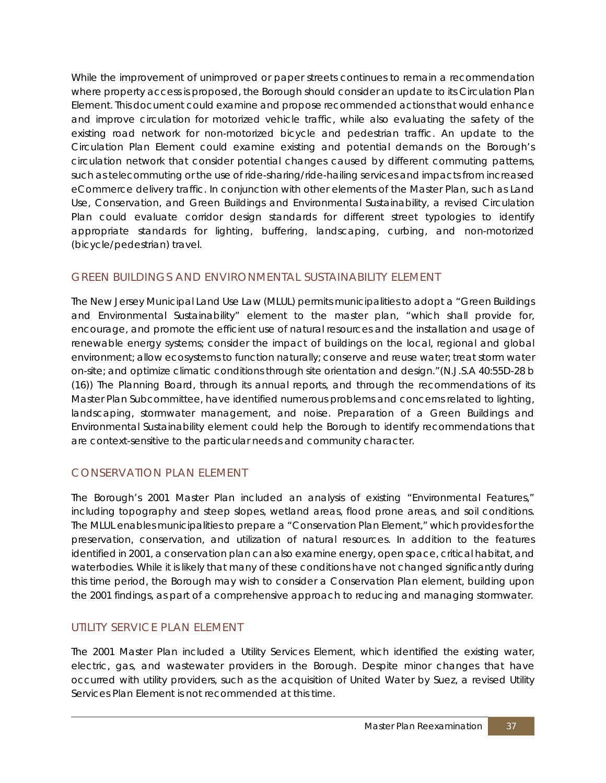While the improvement of unimproved or paper streets continues to remain a recommendation where property access is proposed, the Borough should consider an update to its Circulation Plan Element. This document could examine and propose recommended actions that would enhance and improve circulation for motorized vehicle traffic, while also evaluating the safety of the existing road network for non-motorized bicycle and pedestrian traffic. An update to the Circulation Plan Element could examine existing and potential demands on the Borough's circulation network that consider potential changes caused by different commuting patterns, such as telecommuting or the use of ride-sharing/ride-hailing services and impacts from increased eCommerce delivery traffic. In conjunction with other elements of the Master Plan, such as Land Use, Conservation, and Green Buildings and Environmental Sustainability, a revised Circulation Plan could evaluate corridor design standards for different street typologies to identify appropriate standards for lighting, buffering, landscaping, curbing, and non-motorized (bicycle/pedestrian) travel.

# GREEN BUILDINGS AND ENVIRONMENTAL SUSTAINABILITY ELEMENT

The New Jersey Municipal Land Use Law (MLUL) permits municipalities to adopt a "Green Buildings and Environmental Sustainability" element to the master plan, "which shall provide for, encourage, and promote the efficient use of natural resources and the installation and usage of renewable energy systems; consider the impact of buildings on the local, regional and global environment; allow ecosystems to function naturally; conserve and reuse water; treat storm water on-site; and optimize climatic conditions through site orientation and design."(N.J.S.A 40:55D-28 b (16)) The Planning Board, through its annual reports, and through the recommendations of its Master Plan Subcommittee, have identified numerous problems and concerns related to lighting, landscaping, stormwater management, and noise. Preparation of a Green Buildings and Environmental Sustainability element could help the Borough to identify recommendations that are context-sensitive to the particular needs and community character.

# CONSERVATION PLAN ELEMENT

The Borough's 2001 Master Plan included an analysis of existing "Environmental Features," including topography and steep slopes, wetland areas, flood prone areas, and soil conditions. The MLUL enables municipalities to prepare a "Conservation Plan Element," which provides for the preservation, conservation, and utilization of natural resources. In addition to the features identified in 2001, a conservation plan can also examine energy, open space, critical habitat, and waterbodies. While it is likely that many of these conditions have not changed significantly during this time period, the Borough may wish to consider a Conservation Plan element, building upon the 2001 findings, as part of a comprehensive approach to reducing and managing stormwater.

#### UTILITY SERVICE PLAN ELEMENT

The 2001 Master Plan included a Utility Services Element, which identified the existing water, electric, gas, and wastewater providers in the Borough. Despite minor changes that have occurred with utility providers, such as the acquisition of United Water by Suez, a revised Utility Services Plan Element is not recommended at this time.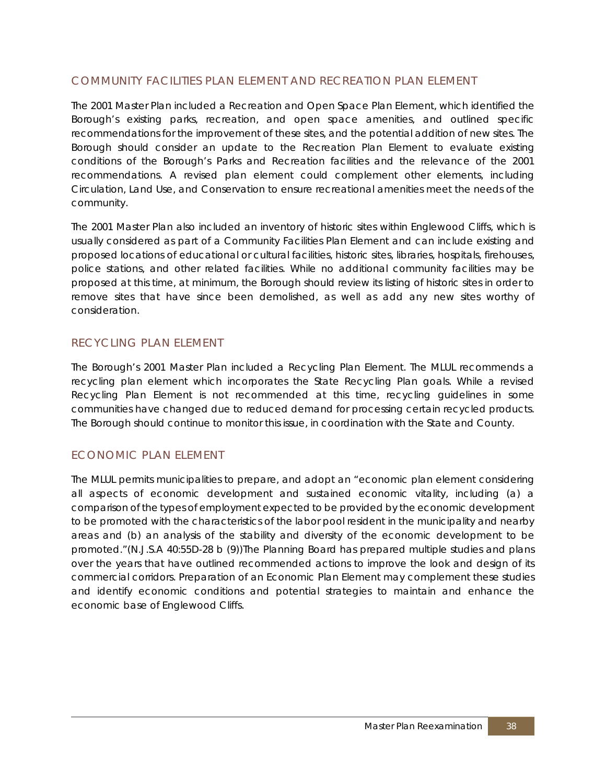# COMMUNITY FACILITIES PLAN ELEMENT AND RECREATION PLAN ELEMENT

The 2001 Master Plan included a Recreation and Open Space Plan Element, which identified the Borough's existing parks, recreation, and open space amenities, and outlined specific recommendations for the improvement of these sites, and the potential addition of new sites. The Borough should consider an update to the Recreation Plan Element to evaluate existing conditions of the Borough's Parks and Recreation facilities and the relevance of the 2001 recommendations. A revised plan element could complement other elements, including Circulation, Land Use, and Conservation to ensure recreational amenities meet the needs of the community.

The 2001 Master Plan also included an inventory of historic sites within Englewood Cliffs, which is usually considered as part of a Community Facilities Plan Element and can include existing and proposed locations of educational or cultural facilities, historic sites, libraries, hospitals, firehouses, police stations, and other related facilities. While no additional community facilities may be proposed at this time, at minimum, the Borough should review its listing of historic sites in order to remove sites that have since been demolished, as well as add any new sites worthy of consideration.

# RECYCLING PLAN ELEMENT

The Borough's 2001 Master Plan included a Recycling Plan Element. The MLUL recommends a recycling plan element which incorporates the State Recycling Plan goals. While a revised Recycling Plan Element is not recommended at this time, recycling guidelines in some communities have changed due to reduced demand for processing certain recycled products. The Borough should continue to monitor this issue, in coordination with the State and County.

# ECONOMIC PLAN ELEMENT

The MLUL permits municipalities to prepare, and adopt an "economic plan element considering all aspects of economic development and sustained economic vitality, including (a) a comparison of the types of employment expected to be provided by the economic development to be promoted with the characteristics of the labor pool resident in the municipality and nearby areas and (b) an analysis of the stability and diversity of the economic development to be promoted."(N.J.S.A 40:55D-28 b (9))The Planning Board has prepared multiple studies and plans over the years that have outlined recommended actions to improve the look and design of its commercial corridors. Preparation of an Economic Plan Element may complement these studies and identify economic conditions and potential strategies to maintain and enhance the economic base of Englewood Cliffs.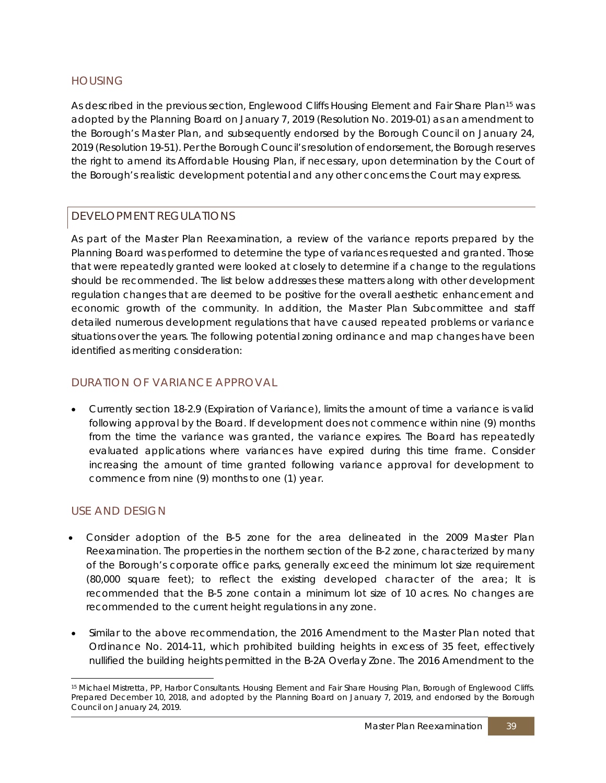# HOUSING

As described in the previous section, Englewood Cliffs Housing Element and Fair Share Plan[15](#page-43-0) was adopted by the Planning Board on January 7, 2019 (Resolution No. 2019-01) as an amendment to the Borough's Master Plan, and subsequently endorsed by the Borough Council on January 24, 2019 (Resolution 19-51). Per the Borough Council's resolution of endorsement, the Borough reserves the right to amend its Affordable Housing Plan, if necessary, upon determination by the Court of the Borough's realistic development potential and any other concerns the Court may express.

# DEVELOPMENT REGULATIONS

As part of the Master Plan Reexamination, a review of the variance reports prepared by the Planning Board was performed to determine the type of variances requested and granted. Those that were repeatedly granted were looked at closely to determine if a change to the regulations should be recommended. The list below addresses these matters along with other development regulation changes that are deemed to be positive for the overall aesthetic enhancement and economic growth of the community. In addition, the Master Plan Subcommittee and staff detailed numerous development regulations that have caused repeated problems or variance situations over the years. The following potential zoning ordinance and map changes have been identified as meriting consideration:

# DURATION OF VARIANCE APPROVAL

• Currently section 18-2.9 (Expiration of Variance), limits the amount of time a variance is valid following approval by the Board. If development does not commence within nine (9) months from the time the variance was granted, the variance expires. The Board has repeatedly evaluated applications where variances have expired during this time frame. Consider increasing the amount of time granted following variance approval for development to commence from nine (9) months to one (1) year.

# USE AND DESIGN

- Consider adoption of the B-5 zone for the area delineated in the 2009 Master Plan Reexamination. The properties in the northern section of the B-2 zone, characterized by many of the Borough's corporate office parks, generally exceed the minimum lot size requirement (80,000 square feet); to reflect the existing developed character of the area; It is recommended that the B-5 zone contain a minimum lot size of 10 acres. No changes are recommended to the current height regulations in any zone.
- Similar to the above recommendation, the 2016 Amendment to the Master Plan noted that Ordinance No. 2014-11, which prohibited building heights in excess of 35 feet, effectively nullified the building heights permitted in the B-2A Overlay Zone. The 2016 Amendment to the

<span id="page-43-0"></span> <sup>15</sup> Michael Mistretta, PP, Harbor Consultants. Housing Element and Fair Share Housing Plan, Borough of Englewood Cliffs. Prepared December 10, 2018, and adopted by the Planning Board on January 7, 2019, and endorsed by the Borough Council on January 24, 2019.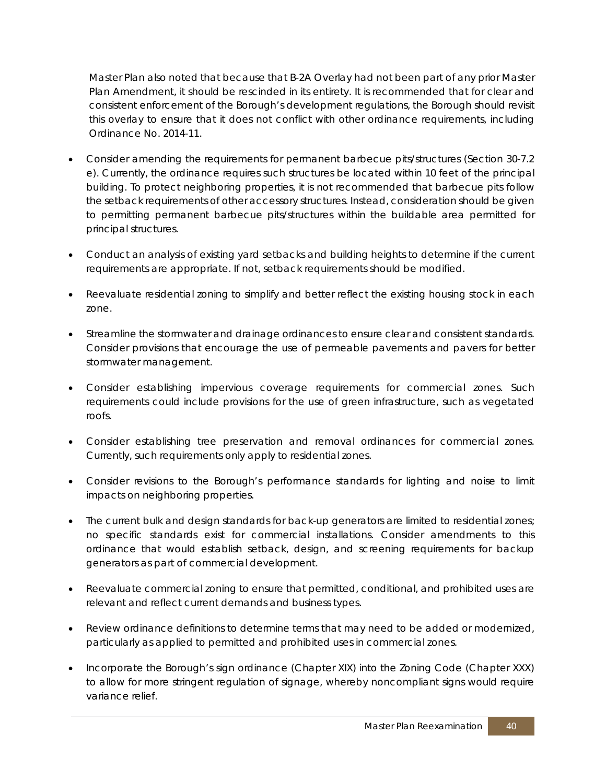Master Plan also noted that because that B-2A Overlay had not been part of any prior Master Plan Amendment, it should be rescinded in its entirety. It is recommended that for clear and consistent enforcement of the Borough's development regulations, the Borough should revisit this overlay to ensure that it does not conflict with other ordinance requirements, including Ordinance No. 2014-11.

- Consider amending the requirements for permanent barbecue pits/structures (Section 30-7.2 e). Currently, the ordinance requires such structures be located within 10 feet of the principal building. To protect neighboring properties, it is not recommended that barbecue pits follow the setback requirements of other accessory structures. Instead, consideration should be given to permitting permanent barbecue pits/structures within the buildable area permitted for principal structures.
- Conduct an analysis of existing yard setbacks and building heights to determine if the current requirements are appropriate. If not, setback requirements should be modified.
- Reevaluate residential zoning to simplify and better reflect the existing housing stock in each zone.
- Streamline the stormwater and drainage ordinances to ensure clear and consistent standards. Consider provisions that encourage the use of permeable pavements and pavers for better stormwater management.
- Consider establishing impervious coverage requirements for commercial zones. Such requirements could include provisions for the use of green infrastructure, such as vegetated roofs.
- Consider establishing tree preservation and removal ordinances for commercial zones. Currently, such requirements only apply to residential zones.
- Consider revisions to the Borough's performance standards for lighting and noise to limit impacts on neighboring properties.
- The current bulk and design standards for back-up generators are limited to residential zones; no specific standards exist for commercial installations. Consider amendments to this ordinance that would establish setback, design, and screening requirements for backup generators as part of commercial development.
- Reevaluate commercial zoning to ensure that permitted, conditional, and prohibited uses are relevant and reflect current demands and business types.
- Review ordinance definitions to determine terms that may need to be added or modernized, particularly as applied to permitted and prohibited uses in commercial zones.
- Incorporate the Borough's sign ordinance (Chapter XIX) into the Zoning Code (Chapter XXX) to allow for more stringent regulation of signage, whereby noncompliant signs would require variance relief.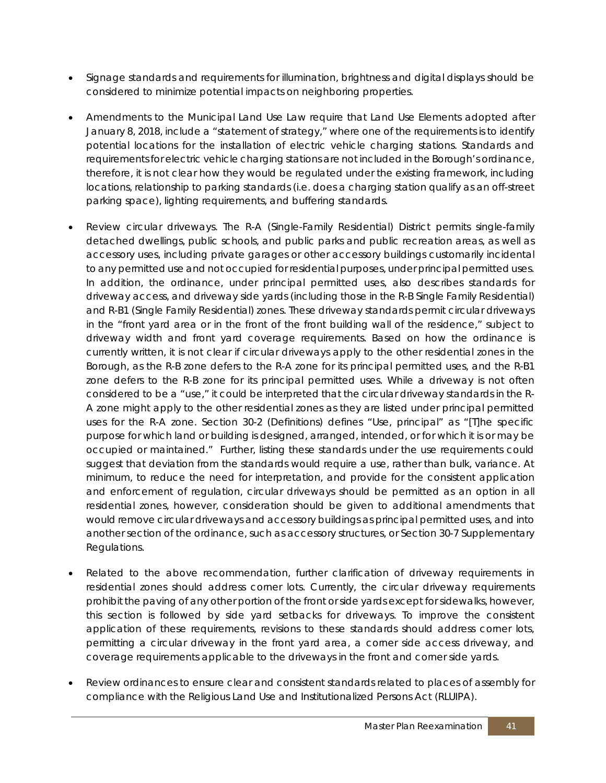- Signage standards and requirements for illumination, brightness and digital displays should be considered to minimize potential impacts on neighboring properties.
- Amendments to the Municipal Land Use Law require that Land Use Elements adopted after January 8, 2018, include a "statement of strategy," where one of the requirements is to identify potential locations for the installation of electric vehicle charging stations. Standards and requirements for electric vehicle charging stations are not included in the Borough's ordinance, therefore, it is not clear how they would be regulated under the existing framework, including locations, relationship to parking standards (i.e. does a charging station qualify as an off-street parking space), lighting requirements, and buffering standards.
- Review circular driveways. The R-A (Single-Family Residential) District permits single-family detached dwellings, public schools, and public parks and public recreation areas, as well as accessory uses, including private garages or other accessory buildings customarily incidental to any permitted use and not occupied for residential purposes, under principal permitted uses. In addition, the ordinance, under principal permitted uses, also describes standards for driveway access, and driveway side yards (including those in the R-B Single Family Residential) and R-B1 (Single Family Residential) zones. These driveway standards permit circular driveways in the "front yard area or in the front of the front building wall of the residence," subject to driveway width and front yard coverage requirements. Based on how the ordinance is currently written, it is not clear if circular driveways apply to the other residential zones in the Borough, as the R-B zone defers to the R-A zone for its principal permitted uses, and the R-B1 zone defers to the R-B zone for its principal permitted uses. While a driveway is not often considered to be a "use," it could be interpreted that the circular driveway standards in the R-A zone might apply to the other residential zones as they are listed under principal permitted uses for the R-A zone. Section 30-2 (Definitions) defines "*Use, principal"* as "[T]he specific purpose for which land or building is designed, arranged, intended, or for which it is or may be occupied or maintained." Further, listing these standards under the use requirements could suggest that deviation from the standards would require a use, rather than bulk, variance. At minimum, to reduce the need for interpretation, and provide for the consistent application and enforcement of regulation, circular driveways should be permitted as an option in all residential zones, however, consideration should be given to additional amendments that would remove circular driveways and accessory buildings as principal permitted uses, and into another section of the ordinance, such as accessory structures, or Section 30-7 Supplementary Regulations.
- Related to the above recommendation, further clarification of driveway requirements in residential zones should address corner lots. Currently, the circular driveway requirements prohibit the paving of any other portion of the front or side yards except for sidewalks, however, this section is followed by side yard setbacks for driveways. To improve the consistent application of these requirements, revisions to these standards should address corner lots, permitting a circular driveway in the front yard area, a corner side access driveway, and coverage requirements applicable to the driveways in the front and corner side yards.
- Review ordinances to ensure clear and consistent standards related to places of assembly for compliance with the Religious Land Use and Institutionalized Persons Act (RLUIPA).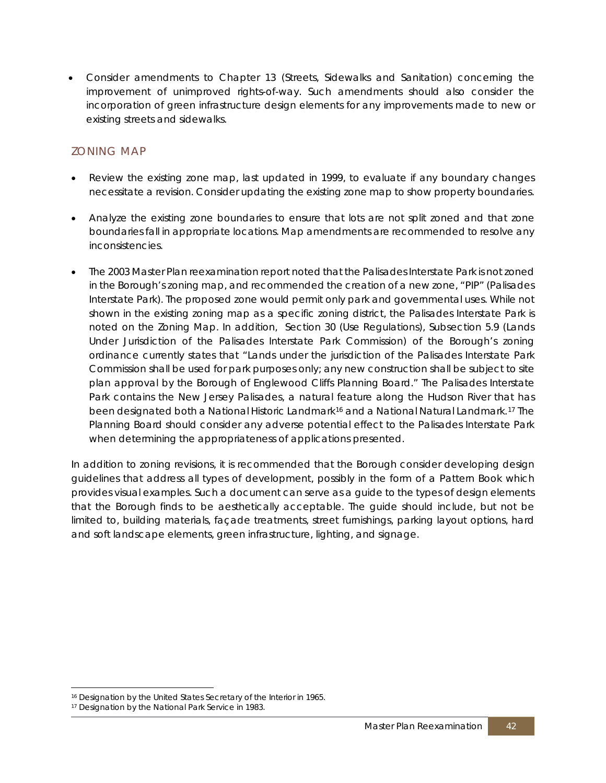• Consider amendments to Chapter 13 (Streets, Sidewalks and Sanitation) concerning the improvement of unimproved rights-of-way. Such amendments should also consider the incorporation of green infrastructure design elements for any improvements made to new or existing streets and sidewalks.

# ZONING MAP

- Review the existing zone map, last updated in 1999, to evaluate if any boundary changes necessitate a revision. Consider updating the existing zone map to show property boundaries.
- Analyze the existing zone boundaries to ensure that lots are not split zoned and that zone boundaries fall in appropriate locations. Map amendments are recommended to resolve any inconsistencies.
- The 2003 Master Plan reexamination report noted that the Palisades Interstate Park is not zoned in the Borough's zoning map, and recommended the creation of a new zone, "PIP" (Palisades Interstate Park). The proposed zone would permit only park and governmental uses. While not shown in the existing zoning map as a specific zoning district, the Palisades Interstate Park is noted on the Zoning Map. In addition, Section 30 (Use Regulations), Subsection 5.9 (Lands Under Jurisdiction of the Palisades Interstate Park Commission) of the Borough's zoning ordinance currently states that "Lands under the jurisdiction of the Palisades Interstate Park Commission shall be used for park purposes only; any new construction shall be subject to site plan approval by the Borough of Englewood Cliffs Planning Board." The Palisades Interstate Park contains the New Jersey Palisades, a natural feature along the Hudson River that has been designated both a National Historic Landmark<sup>[16](#page-46-0)</sup> and a National Natural Landmark.<sup>[17](#page-46-1)</sup> The Planning Board should consider any adverse potential effect to the Palisades Interstate Park when determining the appropriateness of applications presented.

In addition to zoning revisions, it is recommended that the Borough consider developing design guidelines that address all types of development, possibly in the form of a Pattern Book which provides visual examples. Such a document can serve as a guide to the types of design elements that the Borough finds to be aesthetically acceptable. The guide should include, but not be limited to, building materials, façade treatments, street furnishings, parking layout options, hard and soft landscape elements, green infrastructure, lighting, and signage.

<span id="page-46-0"></span>l *<sup>16</sup> Designation by the United States Secretary of the Interior in 1965.*

<span id="page-46-1"></span>*<sup>17</sup> Designation by the National Park Service in 1983.*